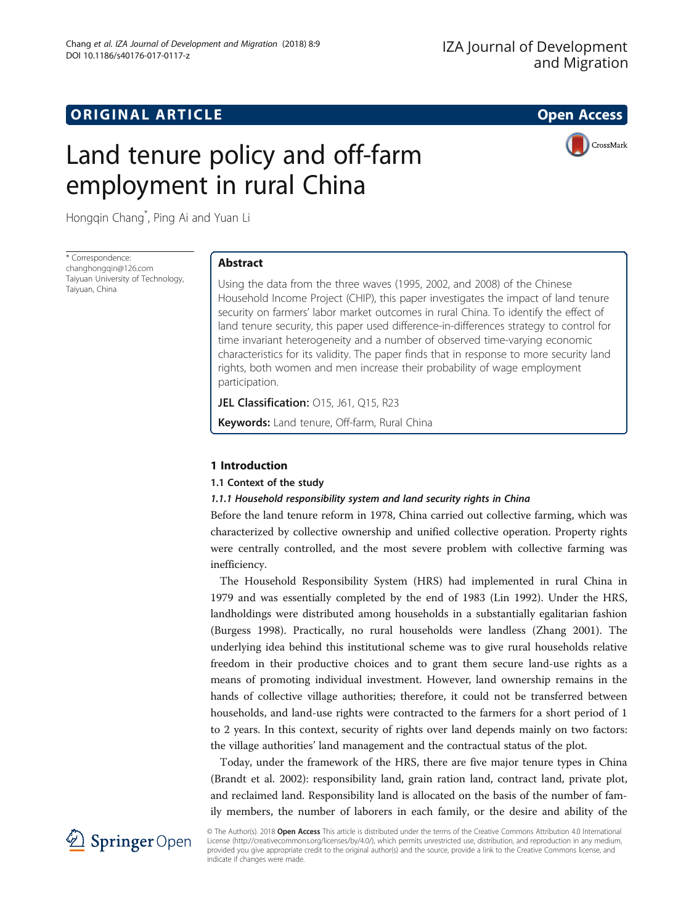# **ORIGINAL ARTICLE CONSUMING A LIGACION** CONSUMING A LIGACION CONSUMING A LIGACION CONSUMING A LIGACION CONSUMING A LIGACION CONSUMING A LIGACION CONSUMING A LIGACION CONSUMING A LIGACION CONSUMING A LIGACION CONSUMING A

# Land tenure policy and off-farm employment in rural China



Hongqin Chang\* , Ping Ai and Yuan Li

\* Correspondence: [changhongqin@126.com](mailto:changhongqin@126.com) Taiyuan University of Technology, Taiyuan, China

## Abstract

Using the data from the three waves (1995, 2002, and 2008) of the Chinese Household Income Project (CHIP), this paper investigates the impact of land tenure security on farmers' labor market outcomes in rural China. To identify the effect of land tenure security, this paper used difference-in-differences strategy to control for time invariant heterogeneity and a number of observed time-varying economic characteristics for its validity. The paper finds that in response to more security land rights, both women and men increase their probability of wage employment participation.

JEL Classification: 015, J61, Q15, R23

Keywords: Land tenure, Off-farm, Rural China

## 1 Introduction

## 1.1 Context of the study

## 1.1.1 Household responsibility system and land security rights in China

Before the land tenure reform in 1978, China carried out collective farming, which was characterized by collective ownership and unified collective operation. Property rights were centrally controlled, and the most severe problem with collective farming was inefficiency.

The Household Responsibility System (HRS) had implemented in rural China in 1979 and was essentially completed by the end of 1983 (Lin [1992](#page-26-0)). Under the HRS, landholdings were distributed among households in a substantially egalitarian fashion (Burgess [1998\)](#page-26-0). Practically, no rural households were landless (Zhang [2001](#page-27-0)). The underlying idea behind this institutional scheme was to give rural households relative freedom in their productive choices and to grant them secure land-use rights as a means of promoting individual investment. However, land ownership remains in the hands of collective village authorities; therefore, it could not be transferred between households, and land-use rights were contracted to the farmers for a short period of 1 to 2 years. In this context, security of rights over land depends mainly on two factors: the village authorities' land management and the contractual status of the plot.

Today, under the framework of the HRS, there are five major tenure types in China (Brandt et al. [2002\)](#page-26-0): responsibility land, grain ration land, contract land, private plot, and reclaimed land. Responsibility land is allocated on the basis of the number of family members, the number of laborers in each family, or the desire and ability of the



© The Author(s). 2018 Open Access This article is distributed under the terms of the Creative Commons Attribution 4.0 International License (http://creativecommons.org/licenses/by/4.0/), which permits unrestricted use, distribution, and reproduction in any medium, provided you give appropriate credit to the original author(s) and the source, provide a link to the Creative Commons license, and indicate if changes were made.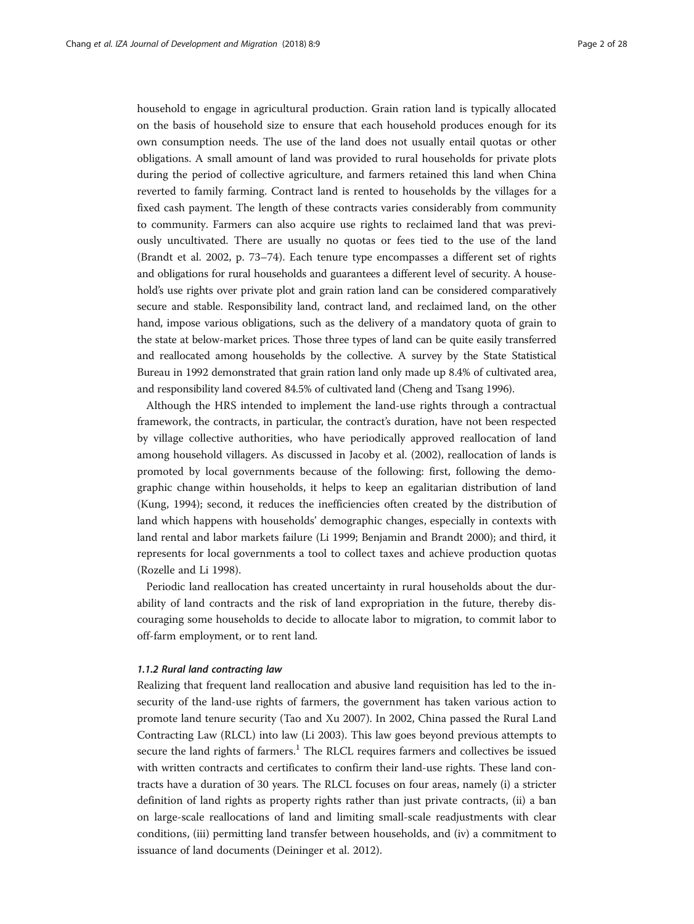household to engage in agricultural production. Grain ration land is typically allocated on the basis of household size to ensure that each household produces enough for its own consumption needs. The use of the land does not usually entail quotas or other obligations. A small amount of land was provided to rural households for private plots during the period of collective agriculture, and farmers retained this land when China reverted to family farming. Contract land is rented to households by the villages for a fixed cash payment. The length of these contracts varies considerably from community to community. Farmers can also acquire use rights to reclaimed land that was previously uncultivated. There are usually no quotas or fees tied to the use of the land (Brandt et al. [2002](#page-26-0), p. 73–74). Each tenure type encompasses a different set of rights and obligations for rural households and guarantees a different level of security. A household's use rights over private plot and grain ration land can be considered comparatively secure and stable. Responsibility land, contract land, and reclaimed land, on the other hand, impose various obligations, such as the delivery of a mandatory quota of grain to the state at below-market prices. Those three types of land can be quite easily transferred and reallocated among households by the collective. A survey by the State Statistical Bureau in 1992 demonstrated that grain ration land only made up 8.4% of cultivated area, and responsibility land covered 84.5% of cultivated land (Cheng and Tsang [1996\)](#page-26-0).

Although the HRS intended to implement the land-use rights through a contractual framework, the contracts, in particular, the contract's duration, have not been respected by village collective authorities, who have periodically approved reallocation of land among household villagers. As discussed in Jacoby et al. [\(2002\)](#page-26-0), reallocation of lands is promoted by local governments because of the following: first, following the demographic change within households, it helps to keep an egalitarian distribution of land (Kung, [1994\)](#page-26-0); second, it reduces the inefficiencies often created by the distribution of land which happens with households' demographic changes, especially in contexts with land rental and labor markets failure (Li [1999](#page-26-0); Benjamin and Brandt [2000](#page-26-0)); and third, it represents for local governments a tool to collect taxes and achieve production quotas (Rozelle and Li [1998\)](#page-26-0).

Periodic land reallocation has created uncertainty in rural households about the durability of land contracts and the risk of land expropriation in the future, thereby discouraging some households to decide to allocate labor to migration, to commit labor to off-farm employment, or to rent land.

#### 1.1.2 Rural land contracting law

Realizing that frequent land reallocation and abusive land requisition has led to the insecurity of the land-use rights of farmers, the government has taken various action to promote land tenure security (Tao and Xu [2007](#page-27-0)). In 2002, China passed the Rural Land Contracting Law (RLCL) into law (Li [2003\)](#page-26-0). This law goes beyond previous attempts to secure the land rights of farmers. $<sup>1</sup>$  The RLCL requires farmers and collectives be issued</sup> with written contracts and certificates to confirm their land-use rights. These land contracts have a duration of 30 years. The RLCL focuses on four areas, namely (i) a stricter definition of land rights as property rights rather than just private contracts, (ii) a ban on large-scale reallocations of land and limiting small-scale readjustments with clear conditions, (iii) permitting land transfer between households, and (iv) a commitment to issuance of land documents (Deininger et al. [2012\)](#page-26-0).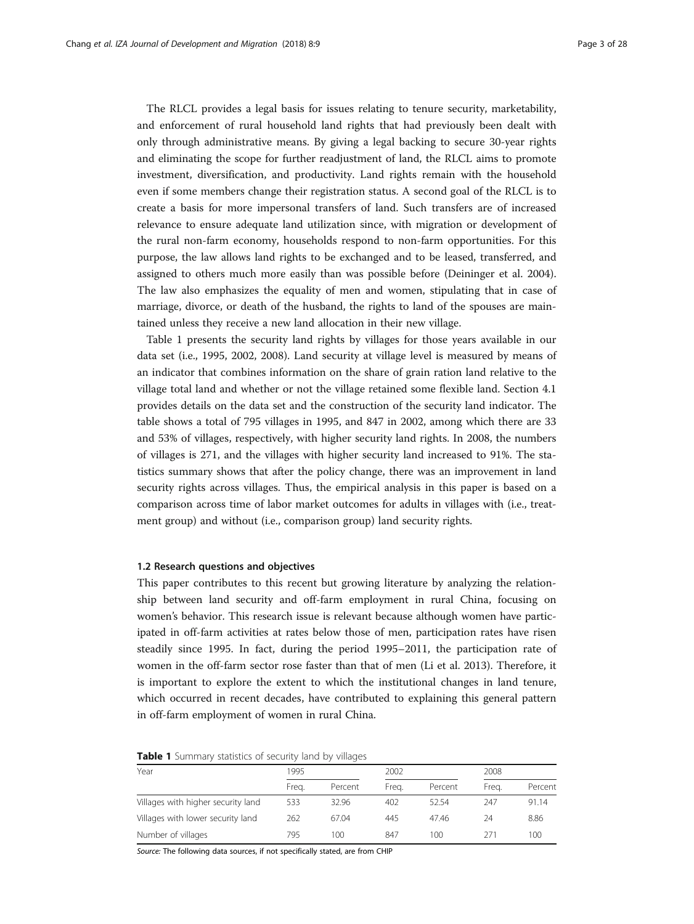The RLCL provides a legal basis for issues relating to tenure security, marketability, and enforcement of rural household land rights that had previously been dealt with only through administrative means. By giving a legal backing to secure 30-year rights and eliminating the scope for further readjustment of land, the RLCL aims to promote investment, diversification, and productivity. Land rights remain with the household even if some members change their registration status. A second goal of the RLCL is to create a basis for more impersonal transfers of land. Such transfers are of increased relevance to ensure adequate land utilization since, with migration or development of the rural non-farm economy, households respond to non-farm opportunities. For this purpose, the law allows land rights to be exchanged and to be leased, transferred, and assigned to others much more easily than was possible before (Deininger et al. [2004](#page-26-0)). The law also emphasizes the equality of men and women, stipulating that in case of marriage, divorce, or death of the husband, the rights to land of the spouses are maintained unless they receive a new land allocation in their new village.

Table 1 presents the security land rights by villages for those years available in our data set (i.e., 1995, 2002, 2008). Land security at village level is measured by means of an indicator that combines information on the share of grain ration land relative to the village total land and whether or not the village retained some flexible land. Section [4.1](#page-12-0) provides details on the data set and the construction of the security land indicator. The table shows a total of 795 villages in 1995, and 847 in 2002, among which there are 33 and 53% of villages, respectively, with higher security land rights. In 2008, the numbers of villages is 271, and the villages with higher security land increased to 91%. The statistics summary shows that after the policy change, there was an improvement in land security rights across villages. Thus, the empirical analysis in this paper is based on a comparison across time of labor market outcomes for adults in villages with (i.e., treatment group) and without (i.e., comparison group) land security rights.

#### 1.2 Research questions and objectives

This paper contributes to this recent but growing literature by analyzing the relationship between land security and off-farm employment in rural China, focusing on women's behavior. This research issue is relevant because although women have participated in off-farm activities at rates below those of men, participation rates have risen steadily since 1995. In fact, during the period 1995–2011, the participation rate of women in the off-farm sector rose faster than that of men (Li et al. [2013\)](#page-26-0). Therefore, it is important to explore the extent to which the institutional changes in land tenure, which occurred in recent decades, have contributed to explaining this general pattern in off-farm employment of women in rural China.

|  |  | Table 1 Summary statistics of security land by villages |  |  |  |  |  |  |
|--|--|---------------------------------------------------------|--|--|--|--|--|--|
|--|--|---------------------------------------------------------|--|--|--|--|--|--|

| Year                               | 1995  |         | 2002  |         | 2008  |         |
|------------------------------------|-------|---------|-------|---------|-------|---------|
|                                    | Freg. | Percent | Frea. | Percent | Frea. | Percent |
| Villages with higher security land | 533   | 32.96   | 402   | 5254    | 247   | 91.14   |
| Villages with lower security land  | 262   | 67.04   | 445   | 47.46   | 24    | 8.86    |
| Number of villages                 | 795   | 100     | 847   | 100     | 771   | 100     |

Source: The following data sources, if not specifically stated, are from CHIP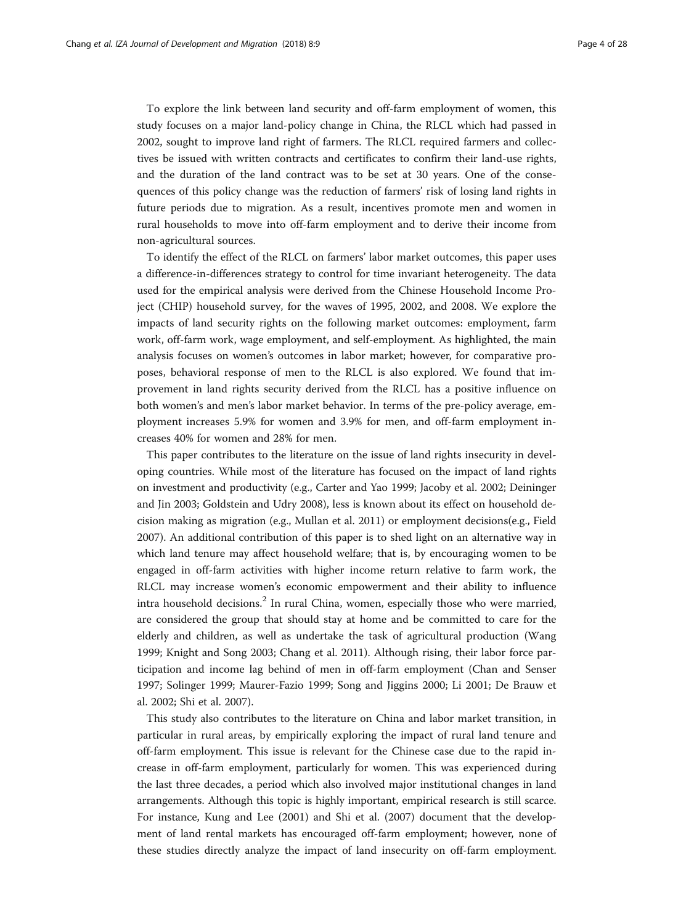To explore the link between land security and off-farm employment of women, this study focuses on a major land-policy change in China, the RLCL which had passed in 2002, sought to improve land right of farmers. The RLCL required farmers and collectives be issued with written contracts and certificates to confirm their land-use rights, and the duration of the land contract was to be set at 30 years. One of the consequences of this policy change was the reduction of farmers' risk of losing land rights in future periods due to migration. As a result, incentives promote men and women in rural households to move into off-farm employment and to derive their income from non-agricultural sources.

To identify the effect of the RLCL on farmers' labor market outcomes, this paper uses a difference-in-differences strategy to control for time invariant heterogeneity. The data used for the empirical analysis were derived from the Chinese Household Income Project (CHIP) household survey, for the waves of 1995, 2002, and 2008. We explore the impacts of land security rights on the following market outcomes: employment, farm work, off-farm work, wage employment, and self-employment. As highlighted, the main analysis focuses on women's outcomes in labor market; however, for comparative proposes, behavioral response of men to the RLCL is also explored. We found that improvement in land rights security derived from the RLCL has a positive influence on both women's and men's labor market behavior. In terms of the pre-policy average, employment increases 5.9% for women and 3.9% for men, and off-farm employment increases 40% for women and 28% for men.

This paper contributes to the literature on the issue of land rights insecurity in developing countries. While most of the literature has focused on the impact of land rights on investment and productivity (e.g., Carter and Yao [1999;](#page-26-0) Jacoby et al. [2002](#page-26-0); Deininger and Jin [2003](#page-26-0); Goldstein and Udry [2008](#page-26-0)), less is known about its effect on household decision making as migration (e.g., Mullan et al. [2011](#page-26-0)) or employment decisions(e.g., Field [2007](#page-26-0)). An additional contribution of this paper is to shed light on an alternative way in which land tenure may affect household welfare; that is, by encouraging women to be engaged in off-farm activities with higher income return relative to farm work, the RLCL may increase women's economic empowerment and their ability to influence intra household decisions.<sup>2</sup> In rural China, women, especially those who were married, are considered the group that should stay at home and be committed to care for the elderly and children, as well as undertake the task of agricultural production (Wang [1999](#page-27-0); Knight and Song [2003;](#page-26-0) Chang et al. [2011\)](#page-26-0). Although rising, their labor force participation and income lag behind of men in off-farm employment (Chan and Senser [1997](#page-26-0); Solinger [1999;](#page-27-0) Maurer-Fazio [1999;](#page-26-0) Song and Jiggins [2000](#page-27-0); Li [2001](#page-26-0); De Brauw et al. [2002](#page-26-0); Shi et al. [2007](#page-27-0)).

This study also contributes to the literature on China and labor market transition, in particular in rural areas, by empirically exploring the impact of rural land tenure and off-farm employment. This issue is relevant for the Chinese case due to the rapid increase in off-farm employment, particularly for women. This was experienced during the last three decades, a period which also involved major institutional changes in land arrangements. Although this topic is highly important, empirical research is still scarce. For instance, Kung and Lee [\(2001\)](#page-26-0) and Shi et al. [\(2007\)](#page-27-0) document that the development of land rental markets has encouraged off-farm employment; however, none of these studies directly analyze the impact of land insecurity on off-farm employment.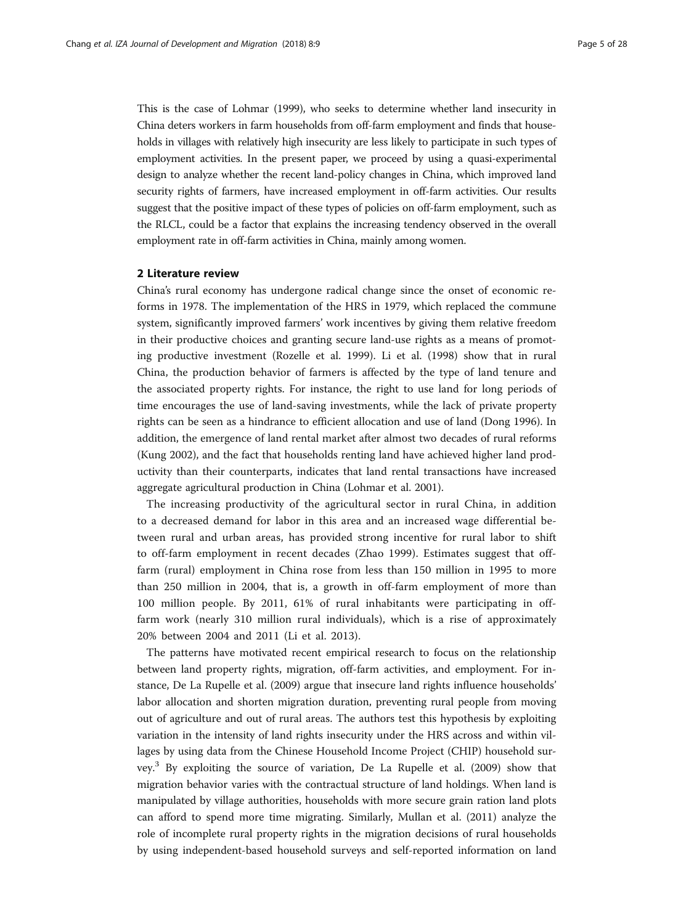This is the case of Lohmar [\(1999](#page-26-0)), who seeks to determine whether land insecurity in China deters workers in farm households from off-farm employment and finds that households in villages with relatively high insecurity are less likely to participate in such types of employment activities. In the present paper, we proceed by using a quasi-experimental design to analyze whether the recent land-policy changes in China, which improved land security rights of farmers, have increased employment in off-farm activities. Our results suggest that the positive impact of these types of policies on off-farm employment, such as the RLCL, could be a factor that explains the increasing tendency observed in the overall employment rate in off-farm activities in China, mainly among women.

#### 2 Literature review

China's rural economy has undergone radical change since the onset of economic reforms in 1978. The implementation of the HRS in 1979, which replaced the commune system, significantly improved farmers' work incentives by giving them relative freedom in their productive choices and granting secure land-use rights as a means of promoting productive investment (Rozelle et al. [1999](#page-27-0)). Li et al. [\(1998\)](#page-26-0) show that in rural China, the production behavior of farmers is affected by the type of land tenure and the associated property rights. For instance, the right to use land for long periods of time encourages the use of land-saving investments, while the lack of private property rights can be seen as a hindrance to efficient allocation and use of land (Dong [1996\)](#page-26-0). In addition, the emergence of land rental market after almost two decades of rural reforms (Kung [2002](#page-26-0)), and the fact that households renting land have achieved higher land productivity than their counterparts, indicates that land rental transactions have increased aggregate agricultural production in China (Lohmar et al. [2001\)](#page-26-0).

The increasing productivity of the agricultural sector in rural China, in addition to a decreased demand for labor in this area and an increased wage differential between rural and urban areas, has provided strong incentive for rural labor to shift to off-farm employment in recent decades (Zhao [1999\)](#page-27-0). Estimates suggest that offfarm (rural) employment in China rose from less than 150 million in 1995 to more than 250 million in 2004, that is, a growth in off-farm employment of more than 100 million people. By 2011, 61% of rural inhabitants were participating in offfarm work (nearly 310 million rural individuals), which is a rise of approximately 20% between 2004 and 2011 (Li et al. [2013](#page-26-0)).

The patterns have motivated recent empirical research to focus on the relationship between land property rights, migration, off-farm activities, and employment. For instance, De La Rupelle et al. [\(2009\)](#page-26-0) argue that insecure land rights influence households' labor allocation and shorten migration duration, preventing rural people from moving out of agriculture and out of rural areas. The authors test this hypothesis by exploiting variation in the intensity of land rights insecurity under the HRS across and within villages by using data from the Chinese Household Income Project (CHIP) household survey.<sup>3</sup> By exploiting the source of variation, De La Rupelle et al. [\(2009\)](#page-26-0) show that migration behavior varies with the contractual structure of land holdings. When land is manipulated by village authorities, households with more secure grain ration land plots can afford to spend more time migrating. Similarly, Mullan et al. ([2011](#page-26-0)) analyze the role of incomplete rural property rights in the migration decisions of rural households by using independent-based household surveys and self-reported information on land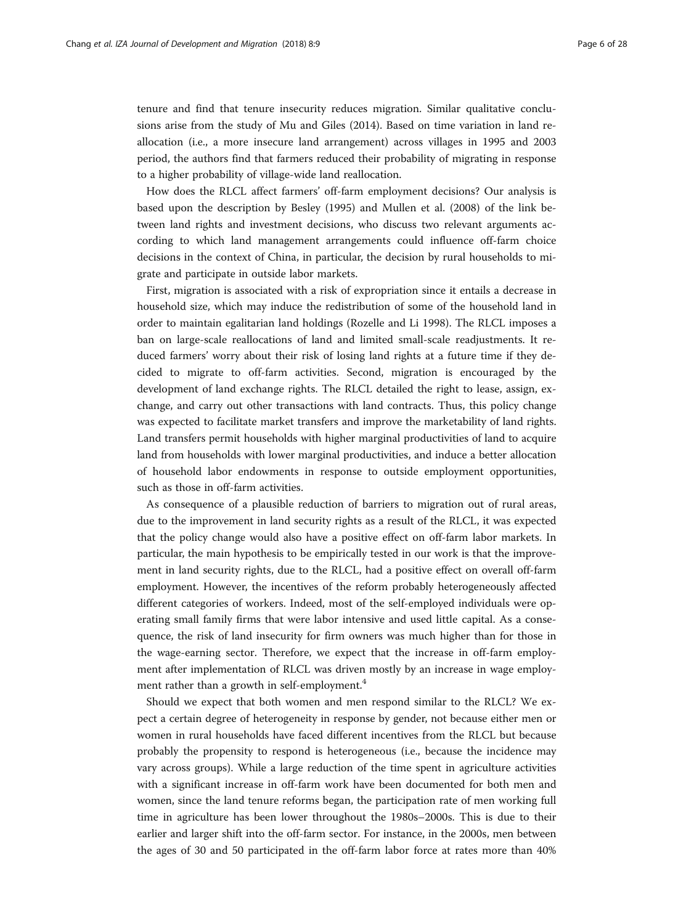tenure and find that tenure insecurity reduces migration. Similar qualitative conclusions arise from the study of Mu and Giles [\(2014\)](#page-26-0). Based on time variation in land reallocation (i.e., a more insecure land arrangement) across villages in 1995 and 2003 period, the authors find that farmers reduced their probability of migrating in response to a higher probability of village-wide land reallocation.

How does the RLCL affect farmers' off-farm employment decisions? Our analysis is based upon the description by Besley [\(1995\)](#page-26-0) and Mullen et al. [\(2008\)](#page-26-0) of the link between land rights and investment decisions, who discuss two relevant arguments according to which land management arrangements could influence off-farm choice decisions in the context of China, in particular, the decision by rural households to migrate and participate in outside labor markets.

First, migration is associated with a risk of expropriation since it entails a decrease in household size, which may induce the redistribution of some of the household land in order to maintain egalitarian land holdings (Rozelle and Li [1998](#page-26-0)). The RLCL imposes a ban on large-scale reallocations of land and limited small-scale readjustments. It reduced farmers' worry about their risk of losing land rights at a future time if they decided to migrate to off-farm activities. Second, migration is encouraged by the development of land exchange rights. The RLCL detailed the right to lease, assign, exchange, and carry out other transactions with land contracts. Thus, this policy change was expected to facilitate market transfers and improve the marketability of land rights. Land transfers permit households with higher marginal productivities of land to acquire land from households with lower marginal productivities, and induce a better allocation of household labor endowments in response to outside employment opportunities, such as those in off-farm activities.

As consequence of a plausible reduction of barriers to migration out of rural areas, due to the improvement in land security rights as a result of the RLCL, it was expected that the policy change would also have a positive effect on off-farm labor markets. In particular, the main hypothesis to be empirically tested in our work is that the improvement in land security rights, due to the RLCL, had a positive effect on overall off-farm employment. However, the incentives of the reform probably heterogeneously affected different categories of workers. Indeed, most of the self-employed individuals were operating small family firms that were labor intensive and used little capital. As a consequence, the risk of land insecurity for firm owners was much higher than for those in the wage-earning sector. Therefore, we expect that the increase in off-farm employment after implementation of RLCL was driven mostly by an increase in wage employment rather than a growth in self-employment.<sup>4</sup>

Should we expect that both women and men respond similar to the RLCL? We expect a certain degree of heterogeneity in response by gender, not because either men or women in rural households have faced different incentives from the RLCL but because probably the propensity to respond is heterogeneous (i.e., because the incidence may vary across groups). While a large reduction of the time spent in agriculture activities with a significant increase in off-farm work have been documented for both men and women, since the land tenure reforms began, the participation rate of men working full time in agriculture has been lower throughout the 1980s–2000s. This is due to their earlier and larger shift into the off-farm sector. For instance, in the 2000s, men between the ages of 30 and 50 participated in the off-farm labor force at rates more than 40%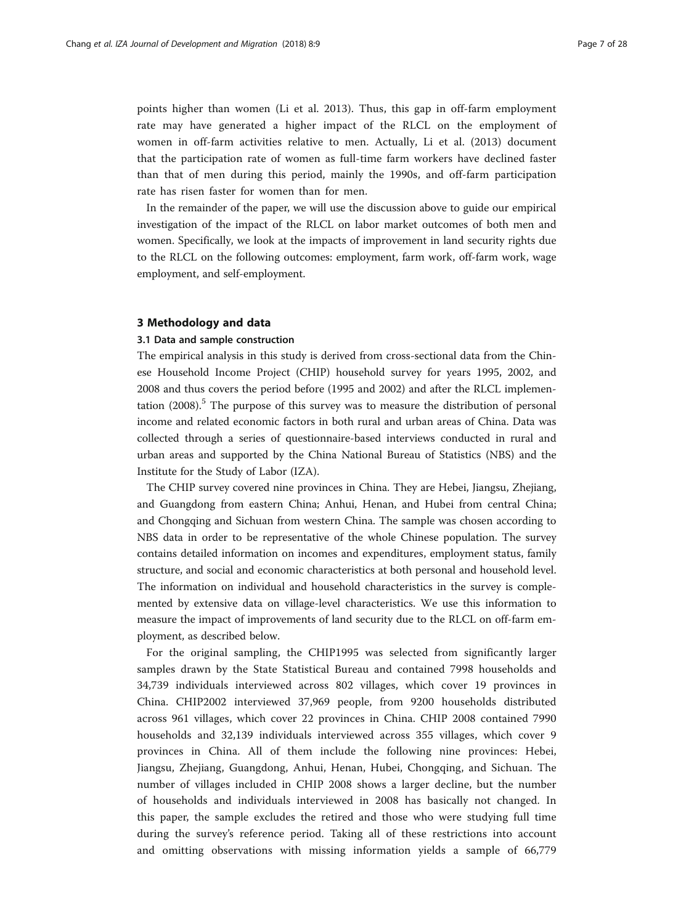<span id="page-6-0"></span>points higher than women (Li et al. [2013](#page-26-0)). Thus, this gap in off-farm employment rate may have generated a higher impact of the RLCL on the employment of women in off-farm activities relative to men. Actually, Li et al. [\(2013](#page-26-0)) document that the participation rate of women as full-time farm workers have declined faster than that of men during this period, mainly the 1990s, and off-farm participation rate has risen faster for women than for men.

In the remainder of the paper, we will use the discussion above to guide our empirical investigation of the impact of the RLCL on labor market outcomes of both men and women. Specifically, we look at the impacts of improvement in land security rights due to the RLCL on the following outcomes: employment, farm work, off-farm work, wage employment, and self-employment.

#### 3 Methodology and data

#### 3.1 Data and sample construction

The empirical analysis in this study is derived from cross-sectional data from the Chinese Household Income Project (CHIP) household survey for years 1995, 2002, and 2008 and thus covers the period before (1995 and 2002) and after the RLCL implementation  $(2008).<sup>5</sup>$  The purpose of this survey was to measure the distribution of personal income and related economic factors in both rural and urban areas of China. Data was collected through a series of questionnaire-based interviews conducted in rural and urban areas and supported by the China National Bureau of Statistics (NBS) and the Institute for the Study of Labor (IZA).

The CHIP survey covered nine provinces in China. They are Hebei, Jiangsu, Zhejiang, and Guangdong from eastern China; Anhui, Henan, and Hubei from central China; and Chongqing and Sichuan from western China. The sample was chosen according to NBS data in order to be representative of the whole Chinese population. The survey contains detailed information on incomes and expenditures, employment status, family structure, and social and economic characteristics at both personal and household level. The information on individual and household characteristics in the survey is complemented by extensive data on village-level characteristics. We use this information to measure the impact of improvements of land security due to the RLCL on off-farm employment, as described below.

For the original sampling, the CHIP1995 was selected from significantly larger samples drawn by the State Statistical Bureau and contained 7998 households and 34,739 individuals interviewed across 802 villages, which cover 19 provinces in China. CHIP2002 interviewed 37,969 people, from 9200 households distributed across 961 villages, which cover 22 provinces in China. CHIP 2008 contained 7990 households and 32,139 individuals interviewed across 355 villages, which cover 9 provinces in China. All of them include the following nine provinces: Hebei, Jiangsu, Zhejiang, Guangdong, Anhui, Henan, Hubei, Chongqing, and Sichuan. The number of villages included in CHIP 2008 shows a larger decline, but the number of households and individuals interviewed in 2008 has basically not changed. In this paper, the sample excludes the retired and those who were studying full time during the survey's reference period. Taking all of these restrictions into account and omitting observations with missing information yields a sample of 66,779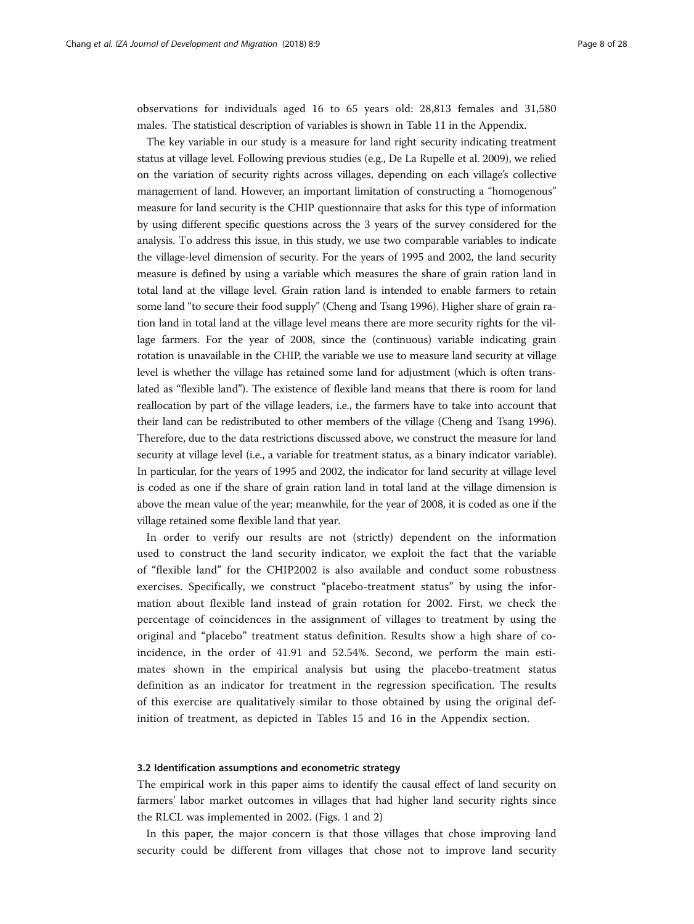observations for individuals aged 16 to 65 years old: 28,813 females and 31,580 males. The statistical description of variables is shown in Table [11](#page-21-0) in the [Appendix](#page-21-0).

The key variable in our study is a measure for land right security indicating treatment status at village level. Following previous studies (e.g., De La Rupelle et al. [2009\)](#page-26-0), we relied on the variation of security rights across villages, depending on each village's collective management of land. However, an important limitation of constructing a "homogenous" measure for land security is the CHIP questionnaire that asks for this type of information by using different specific questions across the 3 years of the survey considered for the analysis. To address this issue, in this study, we use two comparable variables to indicate the village-level dimension of security. For the years of 1995 and 2002, the land security measure is defined by using a variable which measures the share of grain ration land in total land at the village level. Grain ration land is intended to enable farmers to retain some land "to secure their food supply" (Cheng and Tsang [1996](#page-26-0)). Higher share of grain ration land in total land at the village level means there are more security rights for the village farmers. For the year of 2008, since the (continuous) variable indicating grain rotation is unavailable in the CHIP, the variable we use to measure land security at village level is whether the village has retained some land for adjustment (which is often translated as "flexible land"). The existence of flexible land means that there is room for land reallocation by part of the village leaders, i.e., the farmers have to take into account that their land can be redistributed to other members of the village (Cheng and Tsang [1996](#page-26-0)). Therefore, due to the data restrictions discussed above, we construct the measure for land security at village level (i.e., a variable for treatment status, as a binary indicator variable). In particular, for the years of 1995 and 2002, the indicator for land security at village level is coded as one if the share of grain ration land in total land at the village dimension is above the mean value of the year; meanwhile, for the year of 2008, it is coded as one if the village retained some flexible land that year.

In order to verify our results are not (strictly) dependent on the information used to construct the land security indicator, we exploit the fact that the variable of "flexible land" for the CHIP2002 is also available and conduct some robustness exercises. Specifically, we construct "placebo-treatment status" by using the information about flexible land instead of grain rotation for 2002. First, we check the percentage of coincidences in the assignment of villages to treatment by using the original and "placebo" treatment status definition. Results show a high share of coincidence, in the order of 41.91 and 52.54%. Second, we perform the main estimates shown in the empirical analysis but using the placebo-treatment status definition as an indicator for treatment in the regression specification. The results of this exercise are qualitatively similar to those obtained by using the original definition of treatment, as depicted in Tables 15 and 16 in the [Appendix](#page-21-0) section.

#### 3.2 Identification assumptions and econometric strategy

The empirical work in this paper aims to identify the causal effect of land security on farmers' labor market outcomes in villages that had higher land security rights since the RLCL was implemented in 2002. (Figs. [1](#page-8-0) and [2\)](#page-9-0)

In this paper, the major concern is that those villages that chose improving land security could be different from villages that chose not to improve land security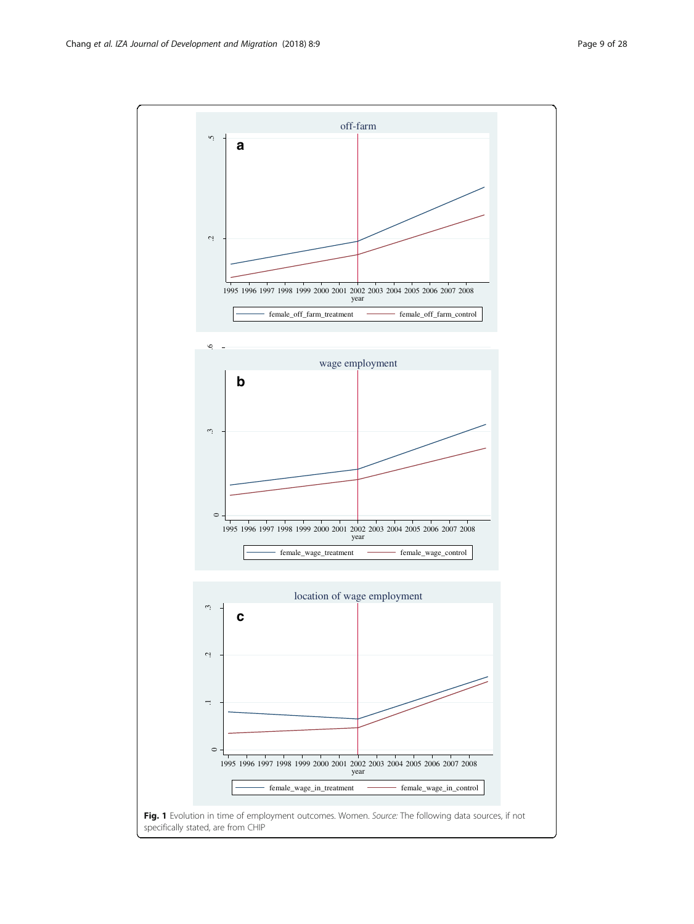<span id="page-8-0"></span>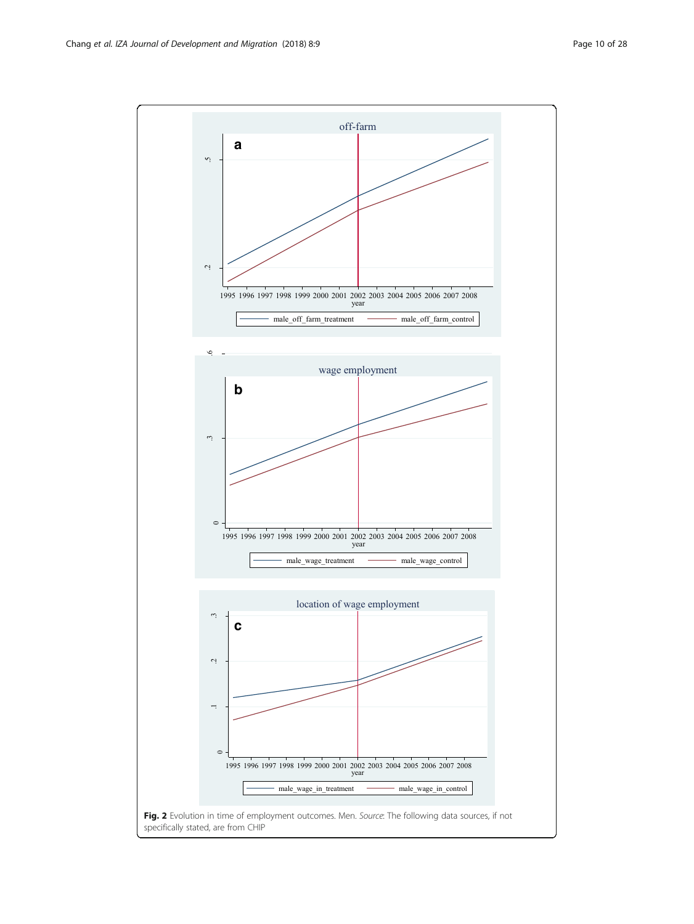<span id="page-9-0"></span>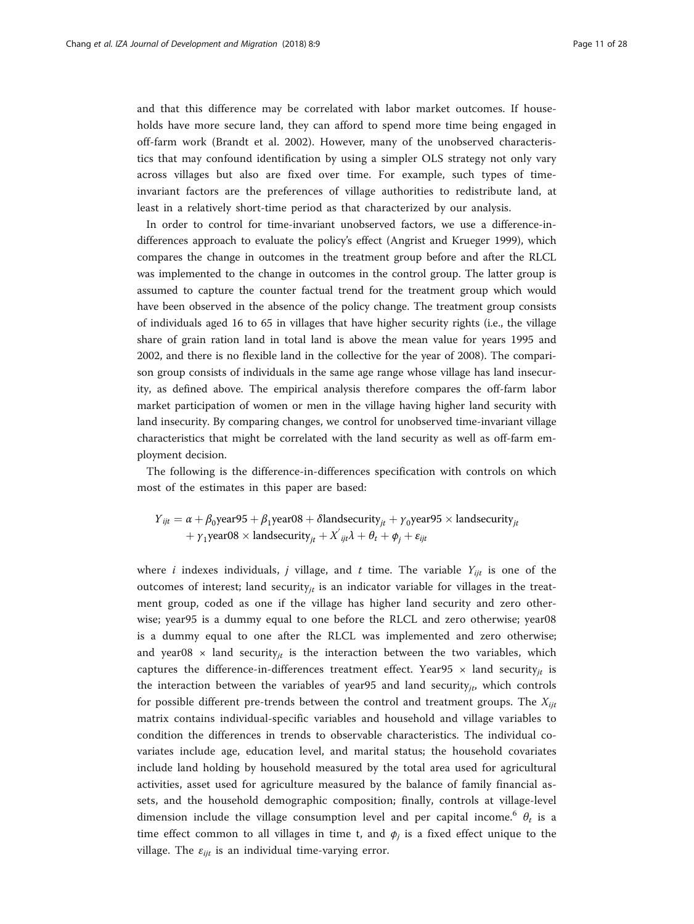and that this difference may be correlated with labor market outcomes. If households have more secure land, they can afford to spend more time being engaged in off-farm work (Brandt et al. [2002\)](#page-26-0). However, many of the unobserved characteristics that may confound identification by using a simpler OLS strategy not only vary across villages but also are fixed over time. For example, such types of timeinvariant factors are the preferences of village authorities to redistribute land, at least in a relatively short-time period as that characterized by our analysis.

In order to control for time-invariant unobserved factors, we use a difference-indifferences approach to evaluate the policy's effect (Angrist and Krueger [1999](#page-26-0)), which compares the change in outcomes in the treatment group before and after the RLCL was implemented to the change in outcomes in the control group. The latter group is assumed to capture the counter factual trend for the treatment group which would have been observed in the absence of the policy change. The treatment group consists of individuals aged 16 to 65 in villages that have higher security rights (i.e., the village share of grain ration land in total land is above the mean value for years 1995 and 2002, and there is no flexible land in the collective for the year of 2008). The comparison group consists of individuals in the same age range whose village has land insecurity, as defined above. The empirical analysis therefore compares the off-farm labor market participation of women or men in the village having higher land security with land insecurity. By comparing changes, we control for unobserved time-invariant village characteristics that might be correlated with the land security as well as off-farm employment decision.

The following is the difference-in-differences specification with controls on which most of the estimates in this paper are based:

$$
Y_{ijt} = \alpha + \beta_0
$$
year95 +  $\beta_1$ year08 +  $\delta$ landsecurity<sub>jt</sub> +  $\gamma_0$ year95 × landscapeunity<sub>jt</sub> +  $\gamma_1$ year08 × landscapeurity<sub>jt</sub> +  $X'_{ijt}\lambda + \theta_t + \phi_j + \varepsilon_{ijt}$ 

where *i* indexes individuals, *j* village, and *t* time. The variable  $Y_{ijt}$  is one of the outcomes of interest; land security<sub>it</sub> is an indicator variable for villages in the treatment group, coded as one if the village has higher land security and zero otherwise; year95 is a dummy equal to one before the RLCL and zero otherwise; year08 is a dummy equal to one after the RLCL was implemented and zero otherwise; and year08  $\times$  land security<sub>it</sub> is the interaction between the two variables, which captures the difference-in-differences treatment effect. Year95  $\times$  land security<sub>jt</sub> is the interaction between the variables of year 95 and land security<sub>it</sub>, which controls for possible different pre-trends between the control and treatment groups. The  $X_{ijt}$ matrix contains individual-specific variables and household and village variables to condition the differences in trends to observable characteristics. The individual covariates include age, education level, and marital status; the household covariates include land holding by household measured by the total area used for agricultural activities, asset used for agriculture measured by the balance of family financial assets, and the household demographic composition; finally, controls at village-level dimension include the village consumption level and per capital income.<sup>6</sup>  $\theta_t$  is a time effect common to all villages in time t, and  $\phi_i$  is a fixed effect unique to the village. The  $\varepsilon_{ijt}$  is an individual time-varying error.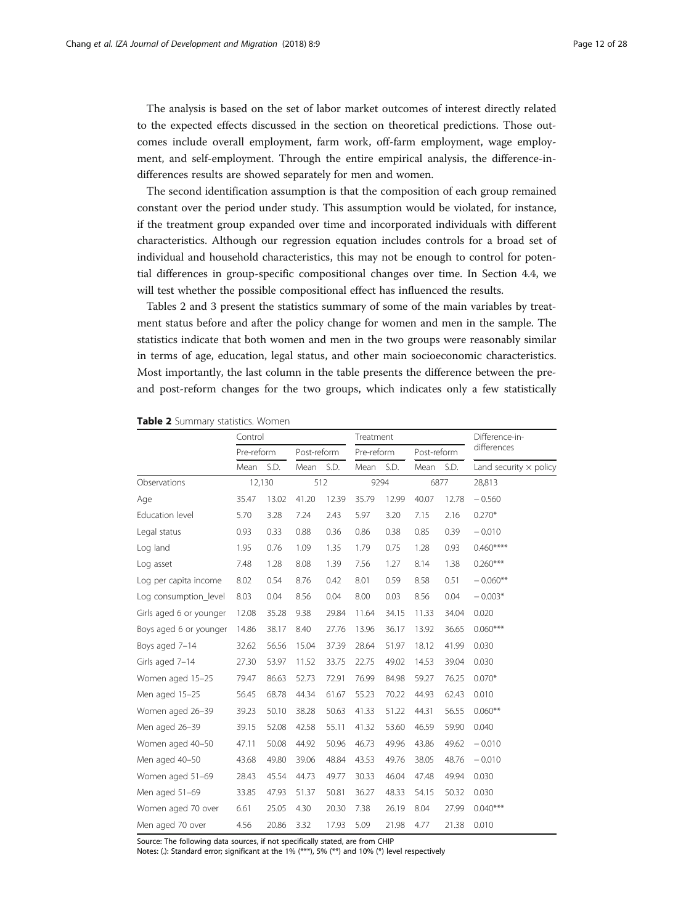<span id="page-11-0"></span>The analysis is based on the set of labor market outcomes of interest directly related to the expected effects discussed in the section on theoretical predictions. Those outcomes include overall employment, farm work, off-farm employment, wage employment, and self-employment. Through the entire empirical analysis, the difference-indifferences results are showed separately for men and women.

The second identification assumption is that the composition of each group remained constant over the period under study. This assumption would be violated, for instance, if the treatment group expanded over time and incorporated individuals with different characteristics. Although our regression equation includes controls for a broad set of individual and household characteristics, this may not be enough to control for potential differences in group-specific compositional changes over time. In Section [4.4](#page-16-0), we will test whether the possible compositional effect has influenced the results.

Tables 2 and [3](#page-12-0) present the statistics summary of some of the main variables by treatment status before and after the policy change for women and men in the sample. The statistics indicate that both women and men in the two groups were reasonably similar in terms of age, education, legal status, and other main socioeconomic characteristics. Most importantly, the last column in the table presents the difference between the preand post-reform changes for the two groups, which indicates only a few statistically

|                         | Control    |        |             |       | Treatment  |       |             |       | Difference-in-                |  |
|-------------------------|------------|--------|-------------|-------|------------|-------|-------------|-------|-------------------------------|--|
|                         | Pre-reform |        | Post-reform |       | Pre-reform |       | Post-reform |       | differences                   |  |
|                         | Mean       | S.D.   | Mean        | S.D.  | Mean       | S.D.  | Mean        | S.D.  | Land security $\times$ policy |  |
| Observations            |            | 12,130 |             | 512   |            | 9294  |             | 6877  | 28,813                        |  |
| Age                     | 35.47      | 13.02  | 41.20       | 12.39 | 35.79      | 12.99 | 40.07       | 12.78 | $-0.560$                      |  |
| Education level         | 5.70       | 3.28   | 7.24        | 2.43  | 5.97       | 3.20  | 7.15        | 2.16  | $0.270*$                      |  |
| Legal status            | 0.93       | 0.33   | 0.88        | 0.36  | 0.86       | 0.38  | 0.85        | 0.39  | $-0.010$                      |  |
| Log land                | 1.95       | 0.76   | 1.09        | 1.35  | 1.79       | 0.75  | 1.28        | 0.93  | $0.460***$                    |  |
| Log asset               | 7.48       | 1.28   | 8.08        | 1.39  | 7.56       | 1.27  | 8.14        | 1.38  | $0.260***$                    |  |
| Log per capita income   | 8.02       | 0.54   | 8.76        | 0.42  | 8.01       | 0.59  | 8.58        | 0.51  | $-0.060**$                    |  |
| Log consumption level   | 8.03       | 0.04   | 8.56        | 0.04  | 8.00       | 0.03  | 8.56        | 0.04  | $-0.003*$                     |  |
| Girls aged 6 or younger | 12.08      | 35.28  | 9.38        | 29.84 | 11.64      | 34.15 | 11.33       | 34.04 | 0.020                         |  |
| Boys aged 6 or younger  | 14.86      | 38.17  | 8.40        | 27.76 | 13.96      | 36.17 | 13.92       | 36.65 | $0.060***$                    |  |
| Boys aged 7-14          | 32.62      | 56.56  | 15.04       | 37.39 | 28.64      | 51.97 | 18.12       | 41.99 | 0.030                         |  |
| Girls aged 7-14         | 27.30      | 53.97  | 11.52       | 33.75 | 22.75      | 49.02 | 14.53       | 39.04 | 0.030                         |  |
| Women aged 15-25        | 79.47      | 86.63  | 52.73       | 72.91 | 76.99      | 84.98 | 59.27       | 76.25 | $0.070*$                      |  |
| Men aged 15-25          | 56.45      | 68.78  | 44.34       | 61.67 | 55.23      | 70.22 | 44.93       | 62.43 | 0.010                         |  |
| Women aged 26-39        | 39.23      | 50.10  | 38.28       | 50.63 | 41.33      | 51.22 | 44.31       | 56.55 | $0.060**$                     |  |
| Men aged 26-39          | 39.15      | 52.08  | 42.58       | 55.11 | 41.32      | 53.60 | 46.59       | 59.90 | 0.040                         |  |
| Women aged 40-50        | 47.11      | 50.08  | 44.92       | 50.96 | 46.73      | 49.96 | 43.86       | 49.62 | $-0.010$                      |  |
| Men aged 40-50          | 43.68      | 49.80  | 39.06       | 48.84 | 43.53      | 49.76 | 38.05       | 48.76 | $-0.010$                      |  |
| Women aged 51-69        | 28.43      | 45.54  | 44.73       | 49.77 | 30.33      | 46.04 | 47.48       | 49.94 | 0.030                         |  |
| Men aged 51-69          | 33.85      | 47.93  | 51.37       | 50.81 | 36.27      | 48.33 | 54.15       | 50.32 | 0.030                         |  |
| Women aged 70 over      | 6.61       | 25.05  | 4.30        | 20.30 | 7.38       | 26.19 | 8.04        | 27.99 | $0.040***$                    |  |
| Men aged 70 over        | 4.56       | 20.86  | 3.32        | 17.93 | 5.09       | 21.98 | 4.77        | 21.38 | 0.010                         |  |

| Table 2 Summary statistics. Women |  |
|-----------------------------------|--|
|-----------------------------------|--|

Source: The following data sources, if not specifically stated, are from CHIP

Notes: (.): Standard error; significant at the 1% (\*\*\*), 5% (\*\*) and 10% (\*) level respectively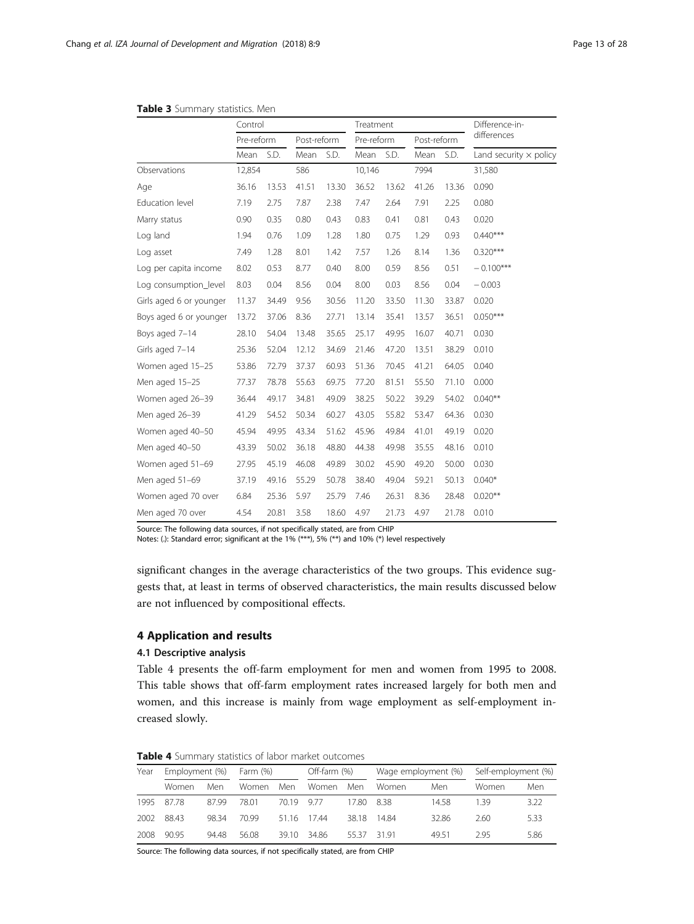|                         | Control    |       |             |       | Treatment  |       |             |       | Difference-in-                |  |
|-------------------------|------------|-------|-------------|-------|------------|-------|-------------|-------|-------------------------------|--|
|                         | Pre-reform |       | Post-reform |       | Pre-reform |       | Post-reform |       | differences                   |  |
|                         | Mean       | S.D.  | Mean        | S.D.  | Mean       | S.D.  | Mean        | S.D.  | Land security $\times$ policy |  |
| Observations            | 12,854     |       | 586         |       | 10,146     |       | 7994        |       | 31,580                        |  |
| Age                     | 36.16      | 13.53 | 41.51       | 13.30 | 36.52      | 13.62 | 41.26       | 13.36 | 0.090                         |  |
| Education level         | 7.19       | 2.75  | 7.87        | 2.38  | 7.47       | 2.64  | 7.91        | 2.25  | 0.080                         |  |
| Marry status            | 0.90       | 0.35  | 0.80        | 0.43  | 0.83       | 0.41  | 0.81        | 0.43  | 0.020                         |  |
| Log land                | 1.94       | 0.76  | 1.09        | 1.28  | 1.80       | 0.75  | 1.29        | 0.93  | $0.440***$                    |  |
| Log asset               | 7.49       | 1.28  | 8.01        | 1.42  | 7.57       | 1.26  | 8.14        | 1.36  | $0.320***$                    |  |
| Log per capita income   | 8.02       | 0.53  | 8.77        | 0.40  | 8.00       | 0.59  | 8.56        | 0.51  | $-0.100***$                   |  |
| Log consumption_level   | 8.03       | 0.04  | 8.56        | 0.04  | 8.00       | 0.03  | 8.56        | 0.04  | $-0.003$                      |  |
| Girls aged 6 or younger | 11.37      | 34.49 | 9.56        | 30.56 | 11.20      | 33.50 | 11.30       | 33.87 | 0.020                         |  |
| Boys aged 6 or younger  | 13.72      | 37.06 | 8.36        | 27.71 | 13.14      | 35.41 | 13.57       | 36.51 | $0.050***$                    |  |
| Boys aged 7-14          | 28.10      | 54.04 | 13.48       | 35.65 | 25.17      | 49.95 | 16.07       | 40.71 | 0.030                         |  |
| Girls aged 7-14         | 25.36      | 52.04 | 12.12       | 34.69 | 21.46      | 47.20 | 13.51       | 38.29 | 0.010                         |  |
| Women aged 15-25        | 53.86      | 72.79 | 37.37       | 60.93 | 51.36      | 70.45 | 41.21       | 64.05 | 0.040                         |  |
| Men aged 15-25          | 77.37      | 78.78 | 55.63       | 69.75 | 77.20      | 81.51 | 55.50       | 71.10 | 0.000                         |  |
| Women aged 26-39        | 36.44      | 49.17 | 34.81       | 49.09 | 38.25      | 50.22 | 39.29       | 54.02 | $0.040**$                     |  |
| Men aged 26-39          | 41.29      | 54.52 | 50.34       | 60.27 | 43.05      | 55.82 | 53.47       | 64.36 | 0.030                         |  |
| Women aged 40-50        | 45.94      | 49.95 | 43.34       | 51.62 | 45.96      | 49.84 | 41.01       | 49.19 | 0.020                         |  |
| Men aged 40-50          | 43.39      | 50.02 | 36.18       | 48.80 | 44.38      | 49.98 | 35.55       | 48.16 | 0.010                         |  |
| Women aged 51-69        | 27.95      | 45.19 | 46.08       | 49.89 | 30.02      | 45.90 | 49.20       | 50.00 | 0.030                         |  |
| Men aged 51-69          | 37.19      | 49.16 | 55.29       | 50.78 | 38.40      | 49.04 | 59.21       | 50.13 | $0.040*$                      |  |
| Women aged 70 over      | 6.84       | 25.36 | 5.97        | 25.79 | 7.46       | 26.31 | 8.36        | 28.48 | $0.020**$                     |  |
| Men aged 70 over        | 4.54       | 20.81 | 3.58        | 18.60 | 4.97       | 21.73 | 4.97        | 21.78 | 0.010                         |  |

<span id="page-12-0"></span>Table 3 Summary statistics. Men

Source: The following data sources, if not specifically stated, are from CHIP

Notes: (.): Standard error; significant at the 1% (\*\*\*), 5% (\*\*) and 10% (\*) level respectively

significant changes in the average characteristics of the two groups. This evidence suggests that, at least in terms of observed characteristics, the main results discussed below are not influenced by compositional effects.

## 4 Application and results

## 4.1 Descriptive analysis

Table 4 presents the off-farm employment for men and women from 1995 to 2008. This table shows that off-farm employment rates increased largely for both men and women, and this increase is mainly from wage employment as self-employment increased slowly.

| Year | Employment (%) |       | Farm (%) |            | Off-farm (%) |       |       | Wage employment (%) | Self-employment (%) |      |
|------|----------------|-------|----------|------------|--------------|-------|-------|---------------------|---------------------|------|
|      | Women          | Men   | Women    | Men        | Women        | Men   | Women | Men                 | <b>Women</b>        | Men  |
| 1995 | 8778           | 8799  | 78.01    | 70.19 9.77 |              | 17.80 | -838  | 14.58               | 139                 | 3.22 |
| 2002 | 88.43          | 9834  | 70.99    | 51.16      | 1744         | 3818  | 14.84 | 32.86               | 2.60                | 5.33 |
| 2008 | 90.95          | 94.48 | 56.08    | 39.10      | 34.86        | 5537  | 3191  | 4951                | 295                 | 5.86 |

Table 4 Summary statistics of labor market outcomes

Source: The following data sources, if not specifically stated, are from CHIP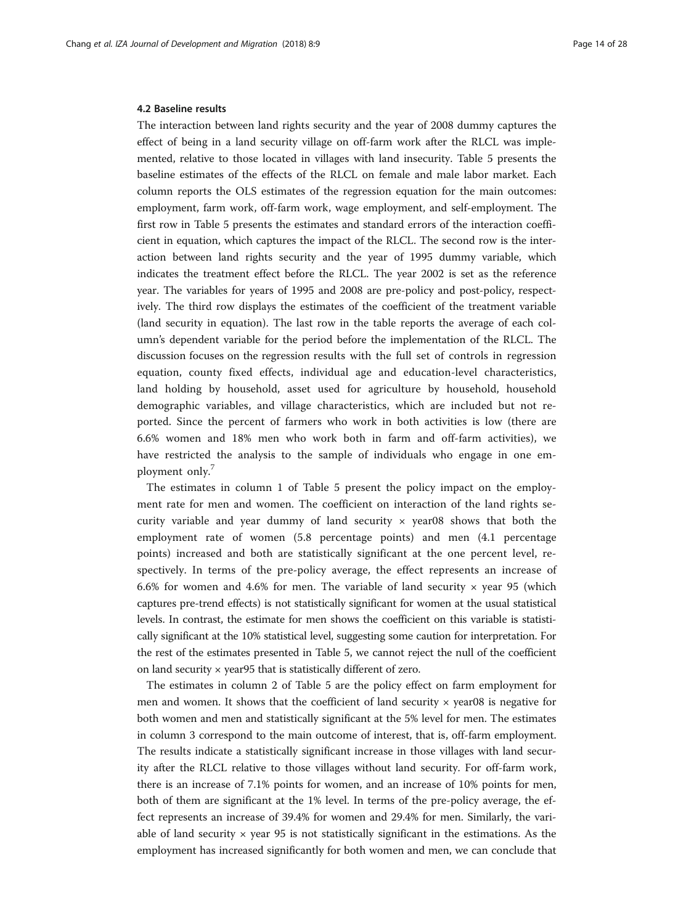#### 4.2 Baseline results

The interaction between land rights security and the year of 2008 dummy captures the effect of being in a land security village on off-farm work after the RLCL was implemented, relative to those located in villages with land insecurity. Table [5](#page-14-0) presents the baseline estimates of the effects of the RLCL on female and male labor market. Each column reports the OLS estimates of the regression equation for the main outcomes: employment, farm work, off-farm work, wage employment, and self-employment. The first row in Table [5](#page-14-0) presents the estimates and standard errors of the interaction coefficient in equation, which captures the impact of the RLCL. The second row is the interaction between land rights security and the year of 1995 dummy variable, which indicates the treatment effect before the RLCL. The year 2002 is set as the reference year. The variables for years of 1995 and 2008 are pre-policy and post-policy, respectively. The third row displays the estimates of the coefficient of the treatment variable (land security in equation). The last row in the table reports the average of each column's dependent variable for the period before the implementation of the RLCL. The discussion focuses on the regression results with the full set of controls in regression equation, county fixed effects, individual age and education-level characteristics, land holding by household, asset used for agriculture by household, household demographic variables, and village characteristics, which are included but not reported. Since the percent of farmers who work in both activities is low (there are 6.6% women and 18% men who work both in farm and off-farm activities), we have restricted the analysis to the sample of individuals who engage in one employment only.<sup>7</sup>

The estimates in column 1 of Table [5](#page-14-0) present the policy impact on the employment rate for men and women. The coefficient on interaction of the land rights security variable and year dummy of land security × year08 shows that both the employment rate of women (5.8 percentage points) and men (4.1 percentage points) increased and both are statistically significant at the one percent level, respectively. In terms of the pre-policy average, the effect represents an increase of 6.6% for women and 4.6% for men. The variable of land security  $\times$  year 95 (which captures pre-trend effects) is not statistically significant for women at the usual statistical levels. In contrast, the estimate for men shows the coefficient on this variable is statistically significant at the 10% statistical level, suggesting some caution for interpretation. For the rest of the estimates presented in Table [5](#page-14-0), we cannot reject the null of the coefficient on land security  $\times$  year95 that is statistically different of zero.

The estimates in column 2 of Table [5](#page-14-0) are the policy effect on farm employment for men and women. It shows that the coefficient of land security  $\times$  year08 is negative for both women and men and statistically significant at the 5% level for men. The estimates in column 3 correspond to the main outcome of interest, that is, off-farm employment. The results indicate a statistically significant increase in those villages with land security after the RLCL relative to those villages without land security. For off-farm work, there is an increase of 7.1% points for women, and an increase of 10% points for men, both of them are significant at the 1% level. In terms of the pre-policy average, the effect represents an increase of 39.4% for women and 29.4% for men. Similarly, the variable of land security  $\times$  year 95 is not statistically significant in the estimations. As the employment has increased significantly for both women and men, we can conclude that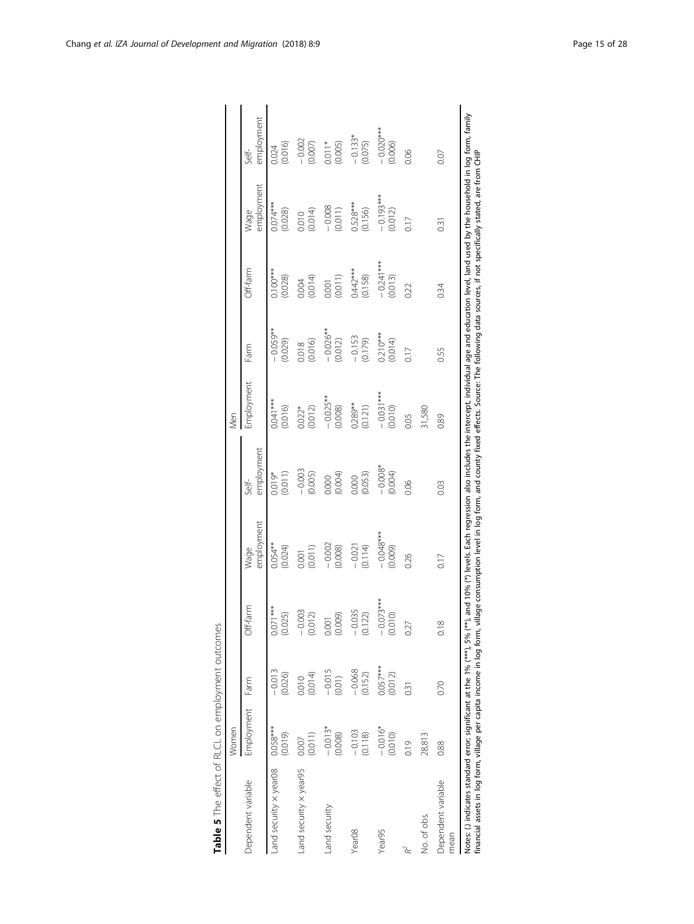<span id="page-14-0"></span>

|                                                                                                                                                                                                                                                                                                                                                                                                                                                       | Women                 |                       |                       |                        |                      | Vien                   |                        |                        |                        |                        |
|-------------------------------------------------------------------------------------------------------------------------------------------------------------------------------------------------------------------------------------------------------------------------------------------------------------------------------------------------------------------------------------------------------------------------------------------------------|-----------------------|-----------------------|-----------------------|------------------------|----------------------|------------------------|------------------------|------------------------|------------------------|------------------------|
| Dependent variable                                                                                                                                                                                                                                                                                                                                                                                                                                    | Employment Farm       |                       | farm-<br>€<br>6       | employment<br>Nage     | employment<br>Self-  | Employment             | Farm                   | Off-farm               | employment<br>Wage     | employment<br>Self-    |
| Land security x year08                                                                                                                                                                                                                                                                                                                                                                                                                                | $0.058***$<br>(0.019) | $-0.013$<br>(0.026)   | $0.071***$<br>(0.025) | 0.054**<br>(0.024)     | (0.011)<br>0.019*    | $3.041***$<br>(0.016)  | $-0.059***$<br>(620.0) | $0.100***$<br>(0.028)  | $0.074***$<br>(0.028)  | (0.016)<br>0.024       |
| and security x year95                                                                                                                                                                                                                                                                                                                                                                                                                                 | (0.011)<br>0.007      | (0.014)<br>0.010      | $-0.003$<br>(0.012)   | (0.011)<br>0.001       | $-0.003$<br>(0.005)  | (0.012)<br>$0.022*$    | (0.016)<br>0.018       | (0.014)<br>0.004       | (0.014)<br>0.010       | $-0.002$<br>(0.007)    |
| and security                                                                                                                                                                                                                                                                                                                                                                                                                                          | $-0.013*$<br>(0.008)  | $-0.015$<br>(0.01)    | (6000)<br>0.001       | $-0.002$<br>(0.008)    | (0.004)<br>0.000     | $-0.025**$<br>(0.008)  | $-0.026**$<br>(0.012)  | (0.011)<br>0.001       | $-0.008$<br>(0.011)    | 10.005)                |
| Year <sub>08</sub>                                                                                                                                                                                                                                                                                                                                                                                                                                    | $-0.103$<br>(0.118)   | $-0.068$<br>(0.152)   | $-0.035$<br>(0.122)   | (0.114)<br>$-0.021$    | (0.053)<br>0.000     | $0.289**$<br>(0.121)   | $-0.153$<br>(0.179)    | $0.442***$<br>(0.158)  | $0.528***$<br>(0.156)  | $-0.133*$<br>(0.075)   |
| Year95                                                                                                                                                                                                                                                                                                                                                                                                                                                | $-0.016*$<br>(0.010)  | $0.057***$<br>(0.012) | $-0.073**$<br>(0.010) | $-0.048***$<br>(0.009) | $-0.008*$<br>(0.004) | $-0.031***$<br>(0.010) | $0.210***$<br>(0.014)  | $-0.241***$<br>(0.013) | $-0.193***$<br>(0.012) | $-0.020***$<br>(0.006) |
| Ř                                                                                                                                                                                                                                                                                                                                                                                                                                                     | 0.19                  | 0.31                  | 0.27                  | 0.26                   | 0.06                 | 0.05                   | 2.17                   | 0.22                   | 0.17                   | 0.06                   |
| No. of obs.                                                                                                                                                                                                                                                                                                                                                                                                                                           | 28,813                |                       |                       |                        |                      | 31,580                 |                        |                        |                        |                        |
| Dependent variable<br>mean                                                                                                                                                                                                                                                                                                                                                                                                                            | 0.88                  | 0.70                  | $\frac{8}{2}$         | 0.17                   | 0.03                 | 0.89                   | 0.55                   | 0.34                   | 0.31                   | 0.07                   |
| Notes: (.) indicates standard error; significant at the 1% (***), 5% (***), 5% (**), 5% (**), 3% (*) lovels. Fad regression also includes the intercept, individual age and education level, land used by the household in log<br>financial assets in log form, village per capita income in log form, willage consumption level in log form, and county fixed effects. Source: The following data sources, if not specifically stated, are from CHIP |                       |                       |                       |                        |                      |                        |                        |                        |                        |                        |

j.

Table 5 The effect of RLCL on employment outcomes

Table 5 The effect of RLCL on employment outcomes  $\frac{1}{2}$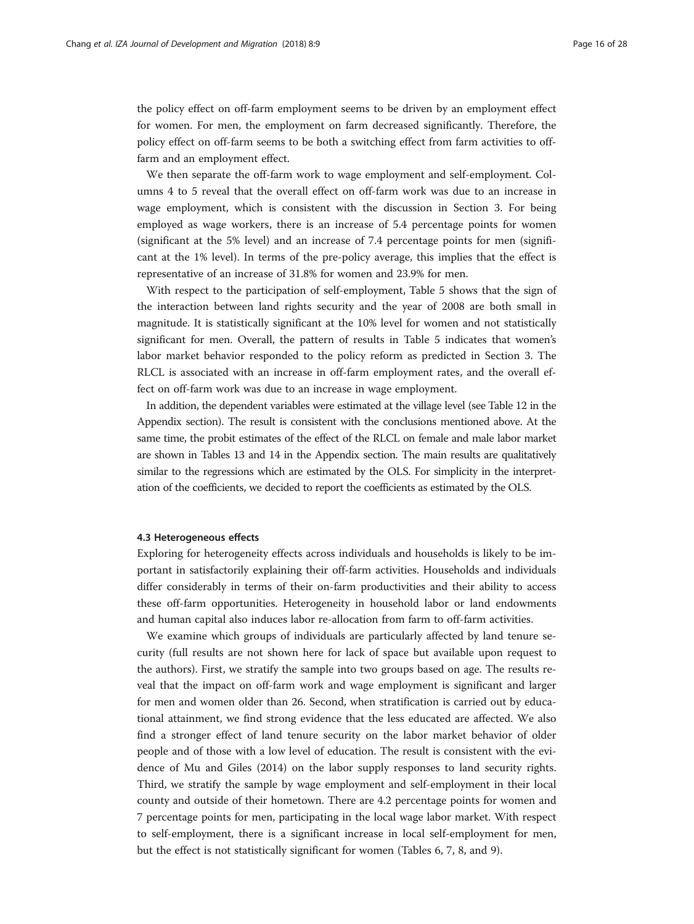the policy effect on off-farm employment seems to be driven by an employment effect for women. For men, the employment on farm decreased significantly. Therefore, the policy effect on off-farm seems to be both a switching effect from farm activities to offfarm and an employment effect.

We then separate the off-farm work to wage employment and self-employment. Columns 4 to 5 reveal that the overall effect on off-farm work was due to an increase in wage employment, which is consistent with the discussion in Section [3](#page-6-0). For being employed as wage workers, there is an increase of 5.4 percentage points for women (significant at the 5% level) and an increase of 7.4 percentage points for men (significant at the 1% level). In terms of the pre-policy average, this implies that the effect is representative of an increase of 31.8% for women and 23.9% for men.

With respect to the participation of self-employment, Table [5](#page-14-0) shows that the sign of the interaction between land rights security and the year of 2008 are both small in magnitude. It is statistically significant at the 10% level for women and not statistically significant for men. Overall, the pattern of results in Table [5](#page-14-0) indicates that women's labor market behavior responded to the policy reform as predicted in Section [3](#page-6-0). The RLCL is associated with an increase in off-farm employment rates, and the overall effect on off-farm work was due to an increase in wage employment.

In addition, the dependent variables were estimated at the village level (see Table 12 in the [Appendix](#page-21-0) section). The result is consistent with the conclusions mentioned above. At the same time, the probit estimates of the effect of the RLCL on female and male labor market are shown in Tables 13 and 14 in the [Appendix](#page-21-0) section. The main results are qualitatively similar to the regressions which are estimated by the OLS. For simplicity in the interpretation of the coefficients, we decided to report the coefficients as estimated by the OLS.

#### 4.3 Heterogeneous effects

Exploring for heterogeneity effects across individuals and households is likely to be important in satisfactorily explaining their off-farm activities. Households and individuals differ considerably in terms of their on-farm productivities and their ability to access these off-farm opportunities. Heterogeneity in household labor or land endowments and human capital also induces labor re-allocation from farm to off-farm activities.

We examine which groups of individuals are particularly affected by land tenure security (full results are not shown here for lack of space but available upon request to the authors). First, we stratify the sample into two groups based on age. The results reveal that the impact on off-farm work and wage employment is significant and larger for men and women older than 26. Second, when stratification is carried out by educational attainment, we find strong evidence that the less educated are affected. We also find a stronger effect of land tenure security on the labor market behavior of older people and of those with a low level of education. The result is consistent with the evidence of Mu and Giles ([2014](#page-26-0)) on the labor supply responses to land security rights. Third, we stratify the sample by wage employment and self-employment in their local county and outside of their hometown. There are 4.2 percentage points for women and 7 percentage points for men, participating in the local wage labor market. With respect to self-employment, there is a significant increase in local self-employment for men, but the effect is not statistically significant for women (Tables [6](#page-16-0), [7](#page-16-0), [8](#page-17-0), and [9](#page-17-0)).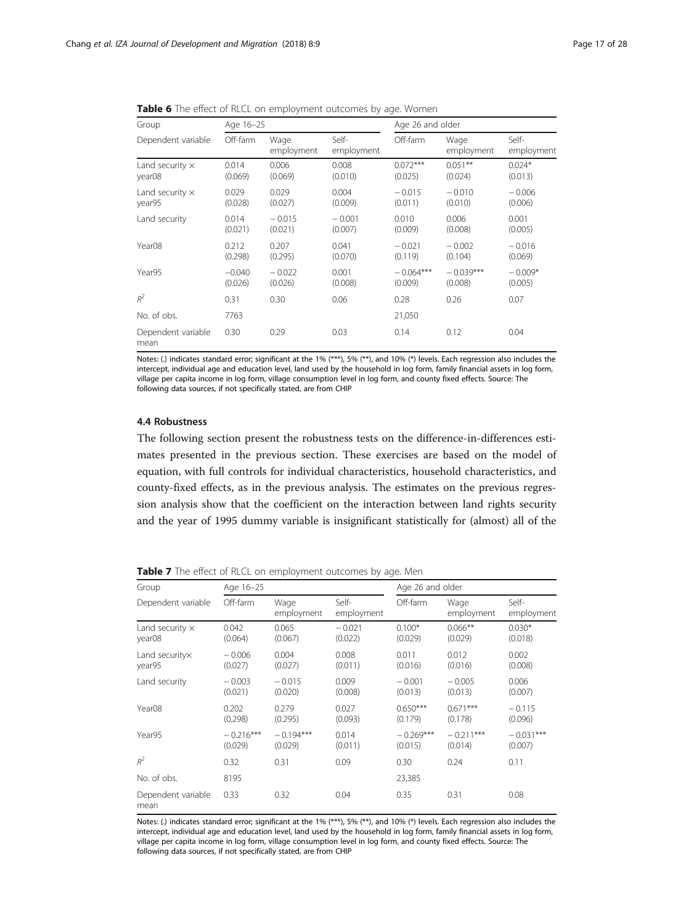| Group                      | Age 16-25 |                    |                     | Age 26 and older |                    |                     |
|----------------------------|-----------|--------------------|---------------------|------------------|--------------------|---------------------|
| Dependent variable         | Off-farm  | Wage<br>employment | Self-<br>employment | Off-farm         | Wage<br>employment | Self-<br>employment |
| Land security $\times$     | 0.014     | 0.006              | 0.008               | $0.072***$       | $0.051***$         | $0.024*$            |
| year <sub>08</sub>         | (0.069)   | (0.069)            | (0.010)             | (0.025)          | (0.024)            | (0.013)             |
| Land security $\times$     | 0.029     | 0.029              | 0.004               | $-0.015$         | $-0.010$           | $-0.006$            |
| year95                     | (0.028)   | (0.027)            | (0.009)             | (0.011)          | (0.010)            | (0.006)             |
| Land security              | 0.014     | $-0.015$           | $-0.001$            | 0.010            | 0.006              | 0.001               |
|                            | (0.021)   | (0.021)            | (0.007)             | (0.009)          | (0.008)            | (0.005)             |
| Year <sub>08</sub>         | 0.212     | 0.207              | 0.041               | $-0.021$         | $-0.002$           | $-0.016$            |
|                            | (0.298)   | (0.295)            | (0.070)             | (0.119)          | (0.104)            | (0.069)             |
| Year95                     | $-0.040$  | $-0.022$           | 0.001               | $-0.064***$      | $-0.039***$        | $-0.009*$           |
|                            | (0.026)   | (0.026)            | (0.008)             | (0.009)          | (0.008)            | (0.005)             |
| $R^2$                      | 0.31      | 0.30               | 0.06                | 0.28             | 0.26               | 0.07                |
| No. of obs.                | 7763      |                    |                     | 21,050           |                    |                     |
| Dependent variable<br>mean | 0.30      | 0.29               | 0.03                | 0.14             | 0.12               | 0.04                |

<span id="page-16-0"></span>Table 6 The effect of RLCL on employment outcomes by age. Women

Notes: (.) indicates standard error; significant at the 1% (\*\*\*), 5% (\*\*), and 10% (\*) levels. Each regression also includes the intercept, individual age and education level, land used by the household in log form, family financial assets in log form, village per capita income in log form, village consumption level in log form, and county fixed effects. Source: The following data sources, if not specifically stated, are from CHIP

#### 4.4 Robustness

The following section present the robustness tests on the difference-in-differences estimates presented in the previous section. These exercises are based on the model of equation, with full controls for individual characteristics, household characteristics, and county-fixed effects, as in the previous analysis. The estimates on the previous regression analysis show that the coefficient on the interaction between land rights security and the year of 1995 dummy variable is insignificant statistically for (almost) all of the

Table 7 The effect of RLCL on employment outcomes by age. Men

| Group                      | Age 16-25   |                    |                     | Age 26 and older |                    |                     |
|----------------------------|-------------|--------------------|---------------------|------------------|--------------------|---------------------|
| Dependent variable         | Off-farm    | Wage<br>employment | Self-<br>employment | Off-farm         | Wage<br>employment | Self-<br>employment |
| Land security $\times$     | 0.042       | 0.065              | $-0.021$            | $0.100*$         | $0.066**$          | $0.030*$            |
| year <sub>08</sub>         | (0.064)     | (0.067)            | (0.022)             | (0.029)          | (0.029)            | (0.018)             |
| Land securityx             | $-0.006$    | 0.004              | 0.008               | 0.011            | 0.012              | 0.002               |
| year95                     | (0.027)     | (0.027)            | (0.011)             | (0.016)          | (0.016)            | (0.008)             |
| Land security              | $-0.003$    | $-0.015$           | 0.009               | $-0.001$         | $-0.005$           | 0.006               |
|                            | (0.021)     | (0.020)            | (0.008)             | (0.013)          | (0.013)            | (0.007)             |
| Year <sub>08</sub>         | 0.202       | 0.279              | 0.027               | $0.650***$       | $0.671***$         | $-0.115$            |
|                            | (0.298)     | (0.295)            | (0.093)             | (0.179)          | (0.178)            | (0.096)             |
| Year95                     | $-0.216***$ | $-0.194***$        | 0.014               | $-0.269***$      | $-0.211***$        | $-0.031***$         |
|                            | (0.029)     | (0.029)            | (0.011)             | (0.015)          | (0.014)            | (0.007)             |
| $R^2$                      | 0.32        | 0.31               | 0.09                | 0.30             | 0.24               | 0.11                |
| No. of obs.                | 8195        |                    |                     | 23,385           |                    |                     |
| Dependent variable<br>mean | 0.33        | 0.32               | 0.04                | 0.35             | 0.31               | 0.08                |

Notes: (.) indicates standard error; significant at the 1% (\*\*\*), 5% (\*\*), and 10% (\*) levels. Each regression also includes the intercept, individual age and education level, land used by the household in log form, family financial assets in log form, village per capita income in log form, village consumption level in log form, and county fixed effects. Source: The following data sources, if not specifically stated, are from CHIP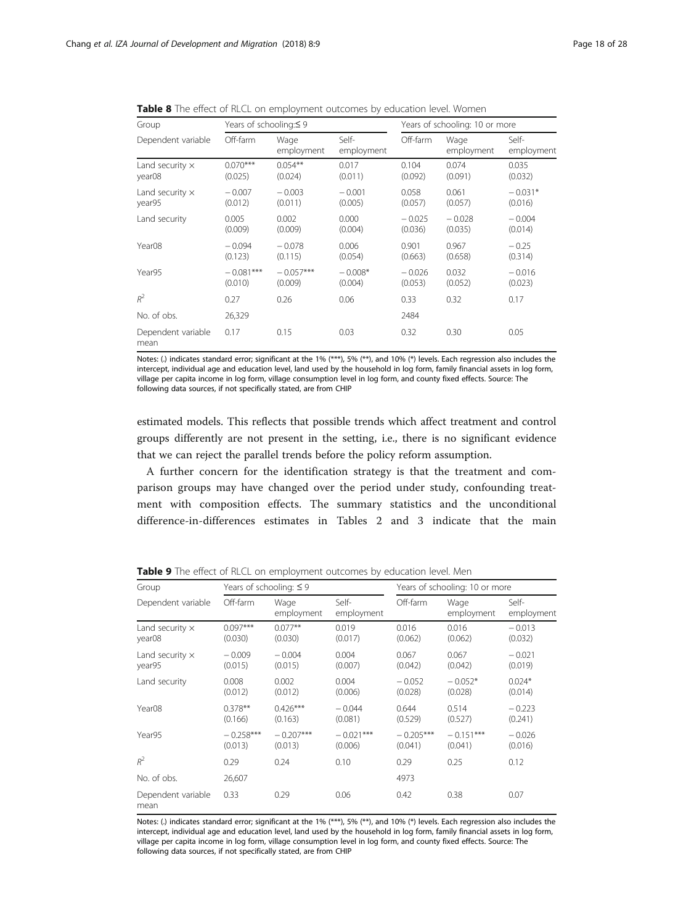| Group                      | Years of schooling:≤9 |                    |                     |          | Years of schooling: 10 or more |                     |  |  |  |
|----------------------------|-----------------------|--------------------|---------------------|----------|--------------------------------|---------------------|--|--|--|
| Dependent variable         | Off-farm              | Wage<br>employment | Self-<br>employment | Off-farm | Wage<br>employment             | Self-<br>employment |  |  |  |
| Land security $\times$     | $0.070***$            | $0.054***$         | 0.017               | 0.104    | 0.074                          | 0.035               |  |  |  |
| year <sub>08</sub>         | (0.025)               | (0.024)            | (0.011)             | (0.092)  | (0.091)                        | (0.032)             |  |  |  |
| Land security $\times$     | $-0.007$              | $-0.003$           | $-0.001$            | 0.058    | 0.061                          | $-0.031*$           |  |  |  |
| year95                     | (0.012)               | (0.011)            | (0.005)             | (0.057)  | (0.057)                        | (0.016)             |  |  |  |
| Land security              | 0.005                 | 0.002              | 0.000               | $-0.025$ | $-0.028$                       | $-0.004$            |  |  |  |
|                            | (0.009)               | (0.009)            | (0.004)             | (0.036)  | (0.035)                        | (0.014)             |  |  |  |
| Year <sub>08</sub>         | $-0.094$              | $-0.078$           | 0.006               | 0.901    | 0.967                          | $-0.25$             |  |  |  |
|                            | (0.123)               | (0.115)            | (0.054)             | (0.663)  | (0.658)                        | (0.314)             |  |  |  |
| Year95                     | $-0.081***$           | $-0.057***$        | $-0.008*$           | $-0.026$ | 0.032                          | $-0.016$            |  |  |  |
|                            | (0.010)               | (0.009)            | (0.004)             | (0.053)  | (0.052)                        | (0.023)             |  |  |  |
| $R^2$                      | 0.27                  | 0.26               | 0.06                | 0.33     | 0.32                           | 0.17                |  |  |  |
| No. of obs.                | 26,329                |                    |                     | 2484     |                                |                     |  |  |  |
| Dependent variable<br>mean | 0.17                  | 0.15               | 0.03                | 0.32     | 0.30                           | 0.05                |  |  |  |

<span id="page-17-0"></span>Table 8 The effect of RLCL on employment outcomes by education level. Women

Notes: (.) indicates standard error; significant at the 1% (\*\*\*), 5% (\*\*), and 10% (\*) levels. Each regression also includes the intercept, individual age and education level, land used by the household in log form, family financial assets in log form, village per capita income in log form, village consumption level in log form, and county fixed effects. Source: The following data sources, if not specifically stated, are from CHIP

estimated models. This reflects that possible trends which affect treatment and control groups differently are not present in the setting, i.e., there is no significant evidence that we can reject the parallel trends before the policy reform assumption.

A further concern for the identification strategy is that the treatment and comparison groups may have changed over the period under study, confounding treatment with composition effects. The summary statistics and the unconditional difference-in-differences estimates in Tables [2](#page-11-0) and [3](#page-12-0) indicate that the main

| Group                      | Years of schooling: $\leq$ 9 |                    |                     |             | Years of schooling: 10 or more |                     |
|----------------------------|------------------------------|--------------------|---------------------|-------------|--------------------------------|---------------------|
| Dependent variable         | Off-farm                     | Wage<br>employment | Self-<br>employment | Off-farm    | Wage<br>employment             | Self-<br>employment |
| Land security $\times$     | $0.097***$                   | $0.077**$          | 0.019               | 0.016       | 0.016                          | $-0.013$            |
| year <sub>08</sub>         | (0.030)                      | (0.030)            | (0.017)             | (0.062)     | (0.062)                        | (0.032)             |
| Land security $\times$     | $-0.009$                     | $-0.004$           | 0.004               | 0.067       | 0.067                          | $-0.021$            |
| year95                     | (0.015)                      | (0.015)            | (0.007)             | (0.042)     | (0.042)                        | (0.019)             |
| Land security              | 0.008                        | 0.002              | 0.004               | $-0.052$    | $-0.052*$                      | $0.024*$            |
|                            | (0.012)                      | (0.012)            | (0.006)             | (0.028)     | (0.028)                        | (0.014)             |
| Year <sub>08</sub>         | $0.378**$                    | $0.426***$         | $-0.044$            | 0.644       | 0.514                          | $-0.223$            |
|                            | (0.166)                      | (0.163)            | (0.081)             | (0.529)     | (0.527)                        | (0.241)             |
| Year95                     | $-0.258***$                  | $-0.207***$        | $-0.021***$         | $-0.205***$ | $-0.151***$                    | $-0.026$            |
|                            | (0.013)                      | (0.013)            | (0.006)             | (0.041)     | (0.041)                        | (0.016)             |
| $R^2$                      | 0.29                         | 0.24               | 0.10                | 0.29        | 0.25                           | 0.12                |
| No. of obs.                | 26,607                       |                    |                     | 4973        |                                |                     |
| Dependent variable<br>mean | 0.33                         | 0.29               | 0.06                | 0.42        | 0.38                           | 0.07                |

Table 9 The effect of RLCL on employment outcomes by education level. Men

Notes: (.) indicates standard error; significant at the 1% (\*\*\*), 5% (\*\*), and 10% (\*) levels. Each regression also includes the intercept, individual age and education level, land used by the household in log form, family financial assets in log form, village per capita income in log form, village consumption level in log form, and county fixed effects. Source: The following data sources, if not specifically stated, are from CHIP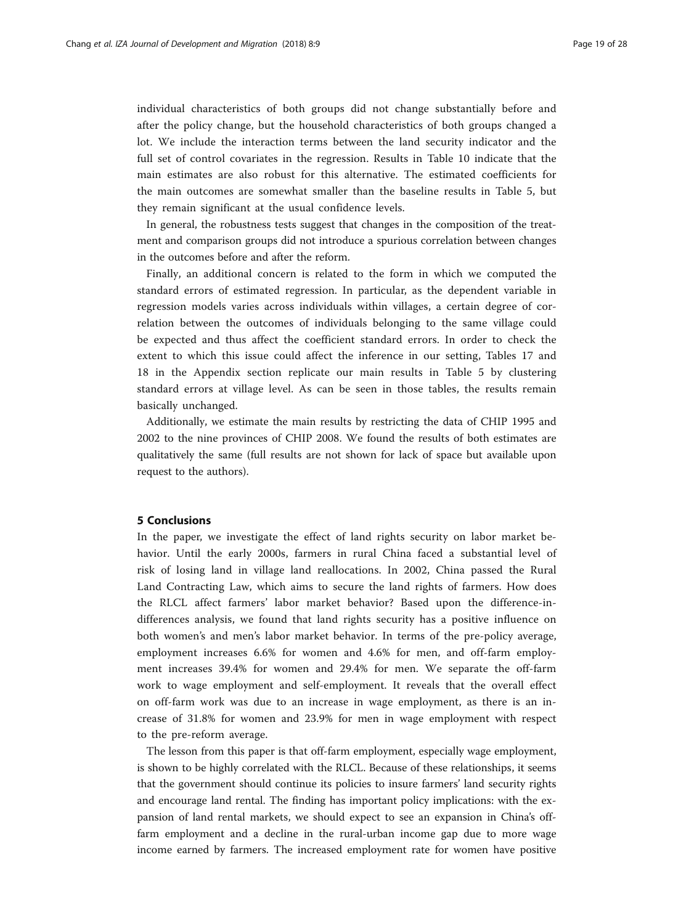individual characteristics of both groups did not change substantially before and after the policy change, but the household characteristics of both groups changed a lot. We include the interaction terms between the land security indicator and the full set of control covariates in the regression. Results in Table [10](#page-19-0) indicate that the main estimates are also robust for this alternative. The estimated coefficients for the main outcomes are somewhat smaller than the baseline results in Table [5](#page-14-0), but they remain significant at the usual confidence levels.

In general, the robustness tests suggest that changes in the composition of the treatment and comparison groups did not introduce a spurious correlation between changes in the outcomes before and after the reform.

Finally, an additional concern is related to the form in which we computed the standard errors of estimated regression. In particular, as the dependent variable in regression models varies across individuals within villages, a certain degree of correlation between the outcomes of individuals belonging to the same village could be expected and thus affect the coefficient standard errors. In order to check the extent to which this issue could affect the inference in our setting, Tables 17 and 18 in the [Appendix](#page-21-0) section replicate our main results in Table [5](#page-14-0) by clustering standard errors at village level. As can be seen in those tables, the results remain basically unchanged.

Additionally, we estimate the main results by restricting the data of CHIP 1995 and 2002 to the nine provinces of CHIP 2008. We found the results of both estimates are qualitatively the same (full results are not shown for lack of space but available upon request to the authors).

#### 5 Conclusions

In the paper, we investigate the effect of land rights security on labor market behavior. Until the early 2000s, farmers in rural China faced a substantial level of risk of losing land in village land reallocations. In 2002, China passed the Rural Land Contracting Law, which aims to secure the land rights of farmers. How does the RLCL affect farmers' labor market behavior? Based upon the difference-indifferences analysis, we found that land rights security has a positive influence on both women's and men's labor market behavior. In terms of the pre-policy average, employment increases 6.6% for women and 4.6% for men, and off-farm employment increases 39.4% for women and 29.4% for men. We separate the off-farm work to wage employment and self-employment. It reveals that the overall effect on off-farm work was due to an increase in wage employment, as there is an increase of 31.8% for women and 23.9% for men in wage employment with respect to the pre-reform average.

The lesson from this paper is that off-farm employment, especially wage employment, is shown to be highly correlated with the RLCL. Because of these relationships, it seems that the government should continue its policies to insure farmers' land security rights and encourage land rental. The finding has important policy implications: with the expansion of land rental markets, we should expect to see an expansion in China's offfarm employment and a decline in the rural-urban income gap due to more wage income earned by farmers. The increased employment rate for women have positive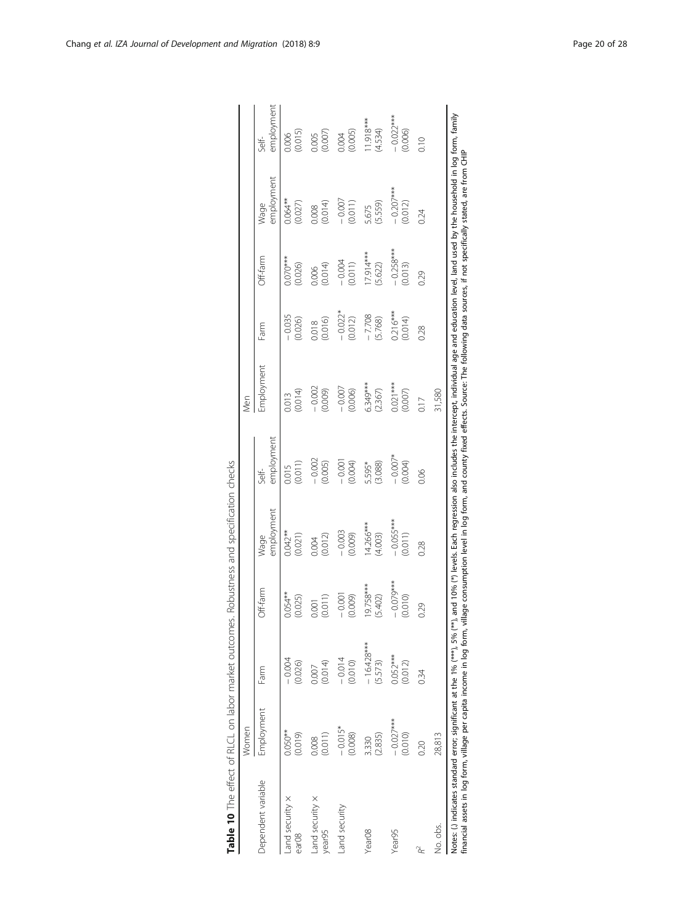<span id="page-19-0"></span>

|                                                                                                                                                                                                                                                                                                                                                                                                                                                       | Women                  |                         |                        |                        |                      | Men                   |                       |                       |                       |                        |
|-------------------------------------------------------------------------------------------------------------------------------------------------------------------------------------------------------------------------------------------------------------------------------------------------------------------------------------------------------------------------------------------------------------------------------------------------------|------------------------|-------------------------|------------------------|------------------------|----------------------|-----------------------|-----------------------|-----------------------|-----------------------|------------------------|
| Dependent variable                                                                                                                                                                                                                                                                                                                                                                                                                                    | Employment             | -<br>Harm               | Off-farm               | employment<br>Wage     | employment<br>Self-  | Employment            | Farm                  | Off-farm              | employment<br>Wage    | employment<br>seif-    |
| Land security X<br>ear08                                                                                                                                                                                                                                                                                                                                                                                                                              | $0.050**$<br>(0.019)   | $-0.004$<br>(0.026)     | $0.054**$<br>(0.025)   | $0.042**$<br>(0.021)   | (0.011)<br>0.015     | (0.014)<br>0.013      | 0.035<br>0.026)       | $0.070***$<br>(0.026) | $0.064**$<br>0.027)   | (0.015)<br>0.006       |
| Land security X<br>year95                                                                                                                                                                                                                                                                                                                                                                                                                             | (0.011)<br>0.008       | (0.014)<br>001          | (0.011)<br>001         | (0.012)<br>0.004       | $-0.002$<br>(0.005)  | $-0.002$<br>(600.0)   | 0.016<br>0.018        | (0.014)<br>000.0      | (0.014)<br>0.008      | 0.005<br>(0.007)       |
| Land security                                                                                                                                                                                                                                                                                                                                                                                                                                         | $-0.015*$<br>(0.008)   | $-0.014$<br>(0.010)     | (600.0)<br>$-0.001$    | $-0.003$<br>(6000)     | $-0.001$<br>(0.004)  | $-0.007$<br>(0.006)   | $-0.022*$<br>(0.012)  | $-0.004$<br>(0.011)   | $-0.007$<br>(0.011)   | $0.004$<br>$(0.005)$   |
| Year <sub>08</sub>                                                                                                                                                                                                                                                                                                                                                                                                                                    | (2.835)<br>3.330       | $-16.428***$<br>(5.573) | 9.758***<br>(5.402)    | $14.266***$<br>(4.003) | (3.088)<br>5.595*    | 6.349***<br>(2.367)   | $-7.708$<br>(5.768)   | 7.914***<br>(5.622)   | 5.675<br>(5.559)      | $1.918***$<br>(4.534)  |
| Year95                                                                                                                                                                                                                                                                                                                                                                                                                                                | $-0.027***$<br>(0.010) | $0.052***$<br>(0.012)   | $-0.079***$<br>(0.010) | $-0.055***$<br>0.011)  | $-0.007*$<br>(0.004) | $0.021***$<br>(0.007) | $0.216***$<br>(0.014) | $-0.258***$<br>0.013) | $-0.207***$<br>0.012) | $-0.022***$<br>(0.006) |
| X                                                                                                                                                                                                                                                                                                                                                                                                                                                     | 0.20                   | 0.34                    | 0.29                   | 0.28                   | 0.06                 | 0.17                  | 0.28                  | 0.29                  | 0.24                  | 0.10                   |
| No. obs.                                                                                                                                                                                                                                                                                                                                                                                                                                              | 28,813                 |                         |                        |                        |                      | 31,580                |                       |                       |                       |                        |
| Notes: (.) indicates standard error; significant at the 1% (***), 5% (**), 5% (**), 5% (**), 3% (*) levels. Fad1 regression also includes the intercept, individual age and education level, land used by the household in log<br>financial assets in log form, village per capita income in log form, village consumption level in log form, and county fixed effects. Source: The following data sources, if not specifically stated, are from CHIP |                        |                         |                        |                        |                      |                       |                       |                       |                       |                        |

| $\frac{4}{3}$<br>¢<br>ļ       |  |
|-------------------------------|--|
| $\overline{\phantom{a}}$      |  |
| سماسي مسماسي<br>うりり<br>j<br>l |  |
| $-20$<br>ĺ                    |  |
| i<br>:<br>:                   |  |
|                               |  |
| $\frac{1}{2}$                 |  |
| I<br>Ï                        |  |
|                               |  |
| ĺ                             |  |
| $\frac{1}{2}$                 |  |
| _<br>■<br>■<br>i<br>I         |  |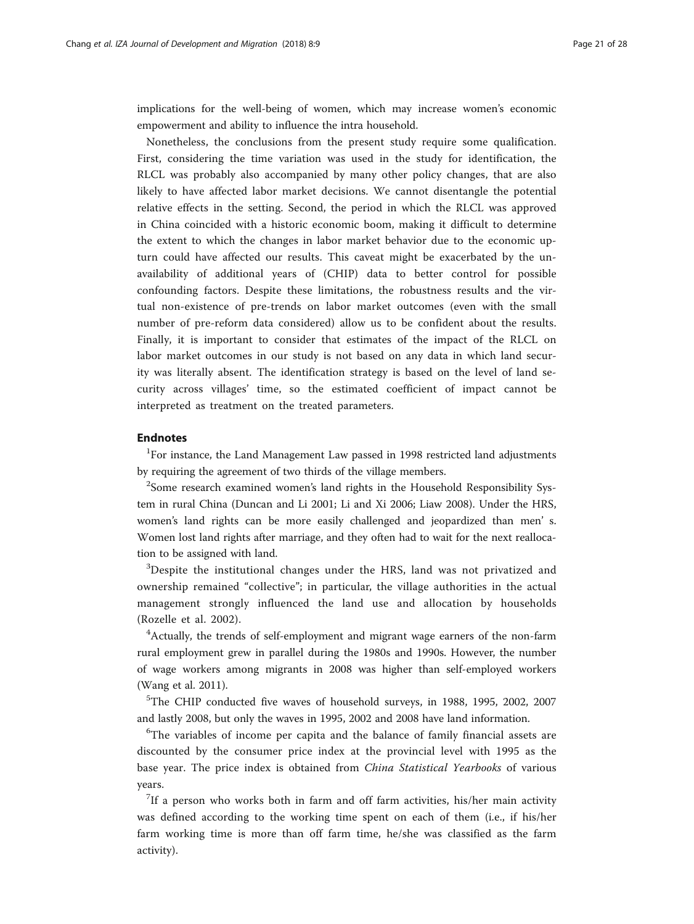implications for the well-being of women, which may increase women's economic empowerment and ability to influence the intra household.

Nonetheless, the conclusions from the present study require some qualification. First, considering the time variation was used in the study for identification, the RLCL was probably also accompanied by many other policy changes, that are also likely to have affected labor market decisions. We cannot disentangle the potential relative effects in the setting. Second, the period in which the RLCL was approved in China coincided with a historic economic boom, making it difficult to determine the extent to which the changes in labor market behavior due to the economic upturn could have affected our results. This caveat might be exacerbated by the unavailability of additional years of (CHIP) data to better control for possible confounding factors. Despite these limitations, the robustness results and the virtual non-existence of pre-trends on labor market outcomes (even with the small number of pre-reform data considered) allow us to be confident about the results. Finally, it is important to consider that estimates of the impact of the RLCL on labor market outcomes in our study is not based on any data in which land security was literally absent. The identification strategy is based on the level of land security across villages' time, so the estimated coefficient of impact cannot be interpreted as treatment on the treated parameters.

## Endnotes

<sup>1</sup>For instance, the Land Management Law passed in 1998 restricted land adjustments by requiring the agreement of two thirds of the village members.

 $2$ Some research examined women's land rights in the Household Responsibility System in rural China (Duncan and Li [2001;](#page-26-0) Li and Xi [2006;](#page-26-0) Liaw [2008](#page-26-0)). Under the HRS, women's land rights can be more easily challenged and jeopardized than men' s. Women lost land rights after marriage, and they often had to wait for the next reallocation to be assigned with land.

 $3$ Despite the institutional changes under the HRS, land was not privatized and ownership remained "collective"; in particular, the village authorities in the actual management strongly influenced the land use and allocation by households (Rozelle et al. [2002](#page-27-0)).

<sup>4</sup> Actually, the trends of self-employment and migrant wage earners of the non-farm rural employment grew in parallel during the 1980s and 1990s. However, the number of wage workers among migrants in 2008 was higher than self-employed workers (Wang et al. [2011](#page-27-0)).

5 The CHIP conducted five waves of household surveys, in 1988, 1995, 2002, 2007 and lastly 2008, but only the waves in 1995, 2002 and 2008 have land information.

<sup>6</sup>The variables of income per capita and the balance of family financial assets are discounted by the consumer price index at the provincial level with 1995 as the base year. The price index is obtained from China Statistical Yearbooks of various years.

 $7$ If a person who works both in farm and off farm activities, his/her main activity was defined according to the working time spent on each of them (i.e., if his/her farm working time is more than off farm time, he/she was classified as the farm activity).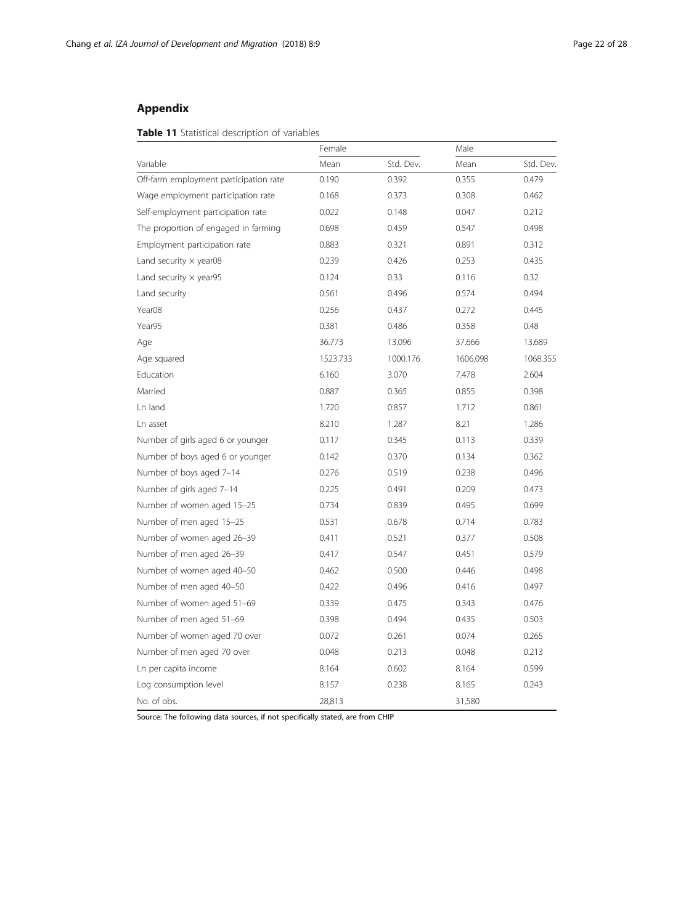## <span id="page-21-0"></span>Appendix

## Table 11 Statistical description of variables

|                                        | Female   |           | Male     |           |
|----------------------------------------|----------|-----------|----------|-----------|
| Variable                               | Mean     | Std. Dev. | Mean     | Std. Dev. |
| Off-farm employment participation rate | 0.190    | 0.392     | 0.355    | 0.479     |
| Wage employment participation rate     | 0.168    | 0.373     | 0.308    | 0.462     |
| Self-employment participation rate     | 0.022    | 0.148     | 0.047    | 0.212     |
| The proportion of engaged in farming   | 0.698    | 0.459     | 0.547    | 0.498     |
| Employment participation rate          | 0.883    | 0.321     | 0.891    | 0.312     |
| Land security $\times$ year08          | 0.239    | 0.426     | 0.253    | 0.435     |
| Land security $\times$ year95          | 0.124    | 0.33      | 0.116    | 0.32      |
| Land security                          | 0.561    | 0.496     | 0.574    | 0.494     |
| Year08                                 | 0.256    | 0.437     | 0.272    | 0.445     |
| Year95                                 | 0.381    | 0.486     | 0.358    | 0.48      |
| Age                                    | 36.773   | 13.096    | 37.666   | 13.689    |
| Age squared                            | 1523.733 | 1000.176  | 1606.098 | 1068.355  |
| Education                              | 6.160    | 3.070     | 7.478    | 2.604     |
| Married                                | 0.887    | 0.365     | 0.855    | 0.398     |
| Ln land                                | 1.720    | 0.857     | 1.712    | 0.861     |
| Ln asset                               | 8.210    | 1.287     | 8.21     | 1.286     |
| Number of girls aged 6 or younger      | 0.117    | 0.345     | 0.113    | 0.339     |
| Number of boys aged 6 or younger       | 0.142    | 0.370     | 0.134    | 0.362     |
| Number of boys aged 7-14               | 0.276    | 0.519     | 0.238    | 0.496     |
| Number of girls aged 7-14              | 0.225    | 0.491     | 0.209    | 0.473     |
| Number of women aged 15-25             | 0.734    | 0.839     | 0.495    | 0.699     |
| Number of men aged 15-25               | 0.531    | 0.678     | 0.714    | 0.783     |
| Number of women aged 26-39             | 0.411    | 0.521     | 0.377    | 0.508     |
| Number of men aged 26-39               | 0.417    | 0.547     | 0.451    | 0.579     |
| Number of women aged 40-50             | 0.462    | 0.500     | 0.446    | 0.498     |
| Number of men aged 40-50               | 0.422    | 0.496     | 0.416    | 0.497     |
| Number of women aged 51-69             | 0.339    | 0.475     | 0.343    | 0.476     |
| Number of men aged 51-69               | 0.398    | 0.494     | 0.435    | 0.503     |
| Number of women aged 70 over           | 0.072    | 0.261     | 0.074    | 0.265     |
| Number of men aged 70 over             | 0.048    | 0.213     | 0.048    | 0.213     |
| Ln per capita income                   | 8.164    | 0.602     | 8.164    | 0.599     |
| Log consumption level                  | 8.157    | 0.238     | 8.165    | 0.243     |
| No. of obs.                            | 28,813   |           | 31,580   |           |

Source: The following data sources, if not specifically stated, are from CHIP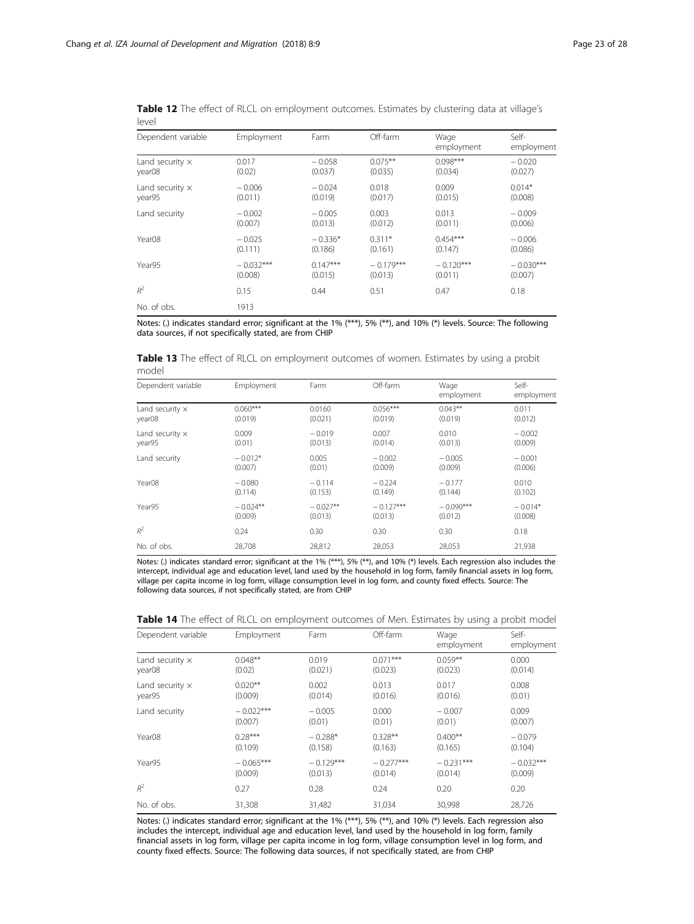| Dependent variable     | Employment  | Farm       | Off-farm    | Wage<br>employment | Self-<br>employment |
|------------------------|-------------|------------|-------------|--------------------|---------------------|
| Land security $\times$ | 0.017       | $-0.058$   | $0.075***$  | $0.098***$         | $-0.020$            |
| year08                 | (0.02)      | (0.037)    | (0.035)     | (0.034)            | (0.027)             |
| Land security $\times$ | $-0.006$    | $-0.024$   | 0.018       | 0.009              | $0.014*$            |
| year95                 | (0.011)     | (0.019)    | (0.017)     | (0.015)            | (0.008)             |
| Land security          | $-0.002$    | $-0.005$   | 0.003       | 0.013              | $-0.009$            |
|                        | (0.007)     | (0.013)    | (0.012)     | (0.011)            | (0.006)             |
| Year08                 | $-0.025$    | $-0.336*$  | $0.311*$    | $0.454***$         | $-0.006$            |
|                        | (0.111)     | (0.186)    | (0.161)     | (0.147)            | (0.086)             |
| Year95                 | $-0.032***$ | $0.147***$ | $-0.179***$ | $-0.120***$        | $-0.030***$         |
|                        | (0.008)     | (0.015)    | (0.013)     | (0.011)            | (0.007)             |
| $R^2$                  | 0.15        | 0.44       | 0.51        | 0.47               | 0.18                |
| No. of obs.            | 1913        |            |             |                    |                     |

Table 12 The effect of RLCL on employment outcomes. Estimates by clustering data at village's level

Notes: (.) indicates standard error; significant at the 1% (\*\*\*), 5% (\*\*), and 10% (\*) levels. Source: The following data sources, if not specifically stated, are from CHIP

Table 13 The effect of RLCL on employment outcomes of women. Estimates by using a probit model

| Dependent variable     | Employment | Farm       | Off-farm    | Wage<br>employment | Self-<br>employment |
|------------------------|------------|------------|-------------|--------------------|---------------------|
| Land security $\times$ | $0.060***$ | 0.0160     | $0.056***$  | $0.043**$          | 0.011               |
| year08                 | (0.019)    | (0.021)    | (0.019)     | (0.019)            | (0.012)             |
| Land security $\times$ | 0.009      | $-0.019$   | 0.007       | 0.010              | $-0.002$            |
| year95                 | (0.01)     | (0.013)    | (0.014)     | (0.013)            | (0.009)             |
| Land security          | $-0.012*$  | 0.005      | $-0.002$    | $-0.005$           | $-0.001$            |
|                        | (0.007)    | (0.01)     | (0.009)     | (0.009)            | (0.006)             |
| Year <sub>08</sub>     | $-0.080$   | $-0.114$   | $-0.224$    | $-0.177$           | 0.010               |
|                        | (0.114)    | (0.153)    | (0.149)     | (0.144)            | (0.102)             |
| Year95                 | $-0.024**$ | $-0.027**$ | $-0.127***$ | $-0.090***$        | $-0.014*$           |
|                        | (0.009)    | (0.013)    | (0.013)     | (0.012)            | (0.008)             |
| $R^2$                  | 0.24       | 0.30       | 0.30        | 0.30               | 0.18                |
| No. of obs.            | 28,708     | 28,812     | 28,053      | 28,053             | 21,938              |

Notes: (.) indicates standard error; significant at the 1% (\*\*\*), 5% (\*\*), and 10% (\*) levels. Each regression also includes the intercept, individual age and education level, land used by the household in log form, family financial assets in log form, village per capita income in log form, village consumption level in log form, and county fixed effects. Source: The following data sources, if not specifically stated, are from CHIP

|  |  | <b>Table 14</b> The effect of RLCL on employment outcomes of Men. Estimates by using a probit model |  |  |
|--|--|-----------------------------------------------------------------------------------------------------|--|--|
|  |  |                                                                                                     |  |  |

| Dependent variable     | Employment  | Farm        | Off-farm    | Wage<br>employment | Self-<br>employment |
|------------------------|-------------|-------------|-------------|--------------------|---------------------|
| Land security $\times$ | $0.048**$   | 0.019       | $0.071***$  | $0.059**$          | 0.000               |
| year08                 | (0.02)      | (0.021)     | (0.023)     | (0.023)            | (0.014)             |
| Land security $\times$ | $0.020**$   | 0.002       | 0.013       | 0.017              | 0.008               |
| year95                 | (0.009)     | (0.014)     | (0.016)     | (0.016)            | (0.01)              |
| Land security          | $-0.022***$ | $-0.005$    | 0.000       | $-0.007$           | 0.009               |
|                        | (0.007)     | (0.01)      | (0.01)      | (0.01)             | (0.007)             |
| Year <sub>08</sub>     | $0.28***$   | $-0.288*$   | $0.328**$   | $0.400**$          | $-0.079$            |
|                        | (0.109)     | (0.158)     | (0.163)     | (0.165)            | (0.104)             |
| Year95                 | $-0.065***$ | $-0.129***$ | $-0.277***$ | $-0.231***$        | $-0.032***$         |
|                        | (0.009)     | (0.013)     | (0.014)     | (0.014)            | (0.009)             |
| $R^2$                  | 0.27        | 0.28        | 0.24        | 0.20               | 0.20                |
| No. of obs.            | 31,308      | 31,482      | 31,034      | 30,998             | 28,726              |

Notes: (.) indicates standard error; significant at the 1% (\*\*\*), 5% (\*\*), and 10% (\*) levels. Each regression also includes the intercept, individual age and education level, land used by the household in log form, family financial assets in log form, village per capita income in log form, village consumption level in log form, and county fixed effects. Source: The following data sources, if not specifically stated, are from CHIP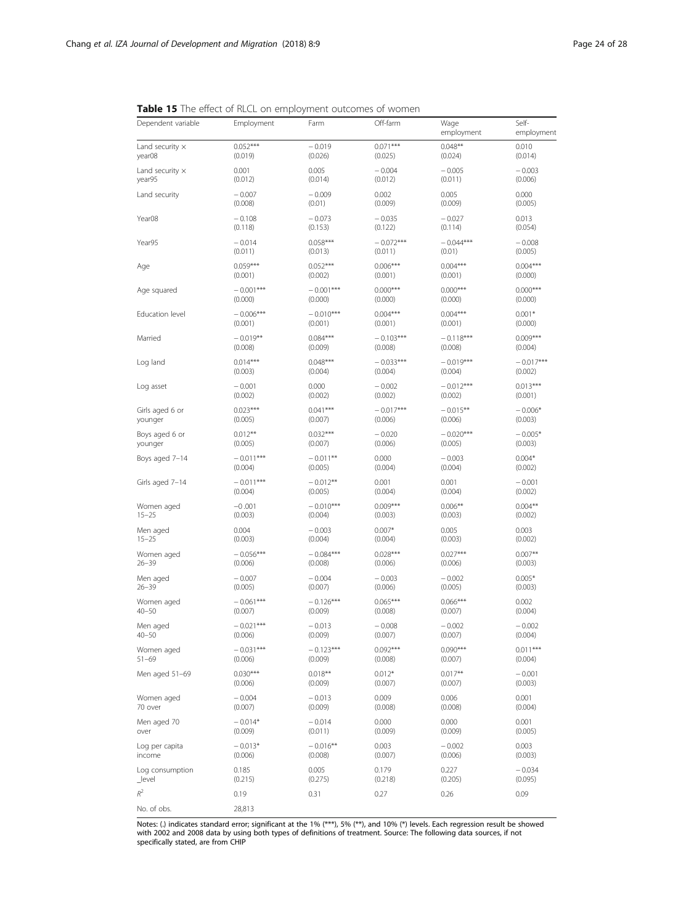|                        | enced or nece on employment outcomes |             |             |                    |                     |
|------------------------|--------------------------------------|-------------|-------------|--------------------|---------------------|
| Dependent variable     | Employment                           | Farm        | Off-farm    | Wage<br>employment | Self-<br>employment |
| Land security $\times$ | $0.052***$                           | $-0.019$    | $0.071***$  | $0.048**$          | 0.010               |
| year <sub>08</sub>     | (0.019)                              | (0.026)     | (0.025)     | (0.024)            | (0.014)             |
| Land security $\times$ | 0.001                                | 0.005       | $-0.004$    | $-0.005$           | $-0.003$            |
| year95                 | (0.012)                              | (0.014)     | (0.012)     | (0.011)            | (0.006)             |
| Land security          | $-0.007$                             | $-0.009$    | 0.002       | 0.005              | 0.000               |
|                        | (0.008)                              | (0.01)      | (0.009)     | (0.009)            | (0.005)             |
| Year <sub>08</sub>     | $-0.108$                             | $-0.073$    | $-0.035$    | $-0.027$           | 0.013               |
|                        | (0.118)                              | (0.153)     | (0.122)     | (0.114)            | (0.054)             |
| Year95                 | $-0.014$                             | $0.058***$  | $-0.072***$ | $-0.044***$        | $-0.008$            |
|                        | (0.011)                              | (0.013)     | (0.011)     | (0.01)             | (0.005)             |
| Age                    | $0.059***$                           | $0.052***$  | $0.006***$  | $0.004***$         | $0.004***$          |
|                        | (0.001)                              | (0.002)     | (0.001)     | (0.001)            | (0.000)             |
| Age squared            | $-0.001***$                          | $-0.001***$ | $0.000***$  | $0.000***$         | $0.000***$          |
|                        | (0.000)                              | (0.000)     | (0.000)     | (0.000)            | (0.000)             |
| Education level        | $-0.006***$                          | $-0.010***$ | $0.004***$  | $0.004***$         | $0.001*$            |
|                        | (0.001)                              | (0.001)     | (0.001)     | (0.001)            | (0.000)             |
| Married                | $-0.019**$                           | $0.084***$  | $-0.103***$ | $-0.118***$        | $0.009***$          |
|                        | (0.008)                              | (0.009)     | (0.008)     | (0.008)            | (0.004)             |
| Log land               | $0.014***$                           | $0.048***$  | $-0.033***$ | $-0.019***$        | $-0.017***$         |
|                        | (0.003)                              | (0.004)     | (0.004)     | (0.004)            | (0.002)             |
| Log asset              | $-0.001$                             | 0.000       | $-0.002$    | $-0.012***$        | $0.013***$          |
|                        | (0.002)                              | (0.002)     | (0.002)     | (0.002)            | (0.001)             |
| Girls aged 6 or        | $0.023***$                           | $0.041***$  | $-0.017***$ | $-0.015**$         | $-0.006*$           |
| younger                | (0.005)                              | (0.007)     | (0.006)     | (0.006)            | (0.003)             |
| Boys aged 6 or         | $0.012***$                           | $0.032***$  | $-0.020$    | $-0.020***$        | $-0.005*$           |
| younger                | (0.005)                              | (0.007)     | (0.006)     | (0.005)            | (0.003)             |
| Boys aged 7-14         | $-0.011***$                          | $-0.011**$  | 0.000       | $-0.003$           | $0.004*$            |
|                        | (0.004)                              | (0.005)     | (0.004)     | (0.004)            | (0.002)             |
| Girls aged 7–14        | $-0.011***$                          | $-0.012**$  | 0.001       | 0.001              | $-0.001$            |
|                        | (0.004)                              | (0.005)     | (0.004)     | (0.004)            | (0.002)             |
| Women aged             | $-0.001$                             | $-0.010***$ | $0.009***$  | $0.006**$          | $0.004**$           |
| $15 - 25$              | (0.003)                              | (0.004)     | (0.003)     | (0.003)            | (0.002)             |
| Men aged               | 0.004                                | $-0.003$    | $0.007*$    | 0.005              | 0.003               |
| $15 - 25$              | (0.003)                              | (0.004)     | (0.004)     | (0.003)            | (0.002)             |
| Women aged             | $-0.056***$                          | $-0.084***$ | $0.028***$  | $0.027***$         | $0.007**$           |
| 26–39                  | (0.006)                              | (0.008)     | (0.006)     | (0.006)            | (0.003)             |
| Men aged               | $-0.007$                             | $-0.004$    | $-0.003$    | $-0.002$           | $0.005*$            |
| $26 - 39$              | (0.005)                              | (0.007)     | (0.006)     | (0.005)            | (0.003)             |
| Women aged             | $-0.061***$                          | $-0.126***$ | $0.065***$  | $0.066***$         | 0.002               |
| $40 - 50$              | (0.007)                              | (0.009)     | (0.008)     | (0.007)            | (0.004)             |
| Men aged               | $-0.021***$                          | $-0.013$    | $-0.008$    | $-0.002$           | $-0.002$            |
| $40 - 50$              | (0.006)                              | (0.009)     | (0.007)     | (0.007)            | (0.004)             |
| Women aged             | $-0.031***$                          | $-0.123***$ | $0.092***$  | $0.090***$         | $0.011***$          |
| $51 - 69$              | (0.006)                              | (0.009)     | (0.008)     | (0.007)            | (0.004)             |
| Men aged 51-69         | $0.030***$                           | $0.018**$   | $0.012*$    | $0.017**$          | $-0.001$            |
|                        | (0.006)                              | (0.009)     | (0.007)     | (0.007)            | (0.003)             |
| Women aged             | $-0.004$                             | $-0.013$    | 0.009       | 0.006              | 0.001               |
| 70 over                | (0.007)                              | (0.009)     | (0.008)     | (0.008)            | (0.004)             |
| Men aged 70            | $-0.014*$                            | $-0.014$    | 0.000       | 0.000              | 0.001               |
| over                   | (0.009)                              | (0.011)     | (0.009)     | (0.009)            | (0.005)             |
| Log per capita         | $-0.013*$                            | $-0.016**$  | 0.003       | $-0.002$           | 0.003               |
| income                 | (0.006)                              | (0.008)     | (0.007)     | (0.006)            | (0.003)             |
| Log consumption        | 0.185                                | 0.005       | 0.179       | 0.227              | $-0.034$            |
| _level                 | (0.215)                              | (0.275)     | (0.218)     | (0.205)            | (0.095)             |
| $R^2$                  | 0.19                                 | 0.31        | 0.27        | 0.26               | 0.09                |
| No. of obs.            | 28,813                               |             |             |                    |                     |

Table 15 The effect of RLCL on employment outcomes of women

Notes: (.) indicates standard error; significant at the 1% (\*\*\*), 5% (\*\*), and 10% (\*) levels. Each regression result be showed<br>with 2002 and 2008 data by using both types of definitions of treatment. Source: The following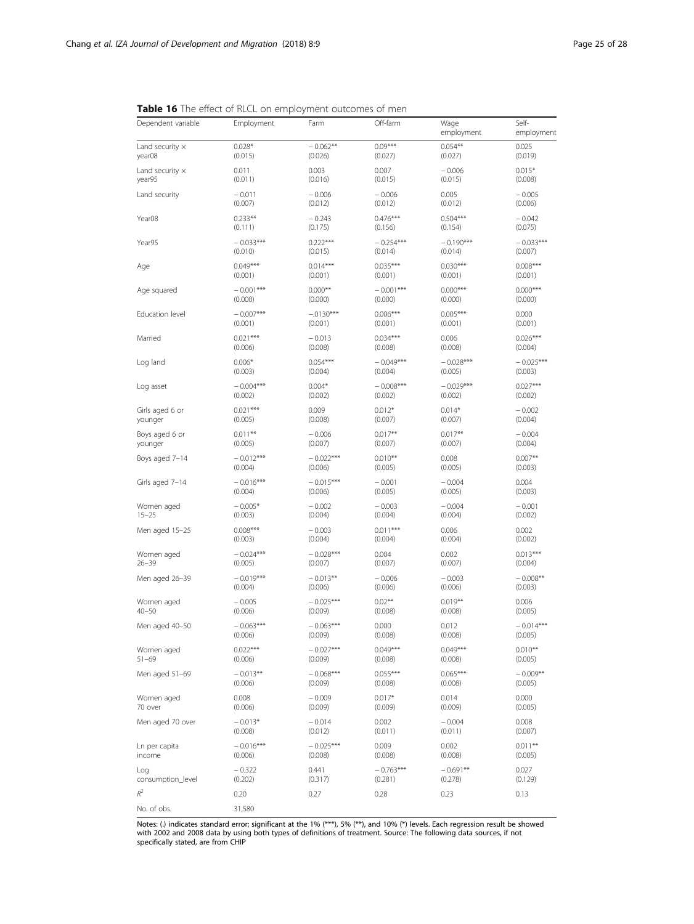| Dependent variable     | Employment  | Farm         | Off-farm    | Wage<br>employment | Self-<br>employment |
|------------------------|-------------|--------------|-------------|--------------------|---------------------|
| Land security $\times$ | $0.028*$    | $-0.062**$   | $0.09***$   | $0.054***$         | 0.025               |
| year08                 | (0.015)     | (0.026)      | (0.027)     | (0.027)            | (0.019)             |
| Land security $\times$ | 0.011       | 0.003        | 0.007       | $-0.006$           | $0.015*$            |
| year95                 | (0.011)     | (0.016)      | (0.015)     | (0.015)            | (0.008)             |
| Land security          | $-0.011$    | $-0.006$     | $-0.006$    | 0.005              | $-0.005$            |
|                        | (0.007)     | (0.012)      | (0.012)     | (0.012)            | (0.006)             |
| Year <sub>08</sub>     | $0.233**$   | $-0.243$     | $0.476***$  | $0.504***$         | $-0.042$            |
|                        | (0.111)     | (0.175)      | (0.156)     | (0.154)            | (0.075)             |
| Year95                 | $-0.033***$ | $0.222***$   | $-0.254***$ | $-0.190***$        | $-0.033***$         |
|                        | (0.010)     | (0.015)      | (0.014)     | (0.014)            | (0.007)             |
| Age                    | $0.049***$  | $0.014***$   | $0.035***$  | $0.030***$         | $0.008***$          |
|                        | (0.001)     | (0.001)      | (0.001)     | (0.001)            | (0.001)             |
| Age squared            | $-0.001***$ | $0.000**$    | $-0.001***$ | $0.000***$         | $0.000***$          |
|                        | (0.000)     | (0.000)      | (0.000)     | (0.000)            | (0.000)             |
| Education level        | $-0.007***$ | $-0.0130***$ | $0.006***$  | $0.005***$         | 0.000               |
|                        | (0.001)     | (0.001)      | (0.001)     | (0.001)            | (0.001)             |
| Married                | $0.021***$  | $-0.013$     | $0.034***$  | 0.006              | $0.026***$          |
|                        | (0.006)     | (0.008)      | (0.008)     | (0.008)            | (0.004)             |
| Log land               | $0.006*$    | $0.054***$   | $-0.049***$ | $-0.028***$        | $-0.025***$         |
|                        | (0.003)     | (0.004)      | (0.004)     | (0.005)            | (0.003)             |
| Log asset              | $-0.004***$ | $0.004*$     | $-0.008***$ | $-0.029***$        | $0.027***$          |
|                        | (0.002)     | (0.002)      | (0.002)     | (0.002)            | (0.002)             |
| Girls aged 6 or        | $0.021***$  | 0.009        | $0.012*$    | $0.014*$           | $-0.002$            |
| younger                | (0.005)     | (0.008)      | (0.007)     | (0.007)            | (0.004)             |
| Boys aged 6 or         | $0.011***$  | $-0.006$     | $0.017**$   | $0.017***$         | $-0.004$            |
| younger                | (0.005)     | (0.007)      | (0.007)     | (0.007)            | (0.004)             |
| Boys aged 7-14         | $-0.012***$ | $-0.022***$  | $0.010**$   | 0.008              | $0.007**$           |
|                        | (0.004)     | (0.006)      | (0.005)     | (0.005)            | (0.003)             |
| Girls aged 7-14        | $-0.016***$ | $-0.015***$  | $-0.001$    | $-0.004$           | 0.004               |
|                        | (0.004)     | (0.006)      | (0.005)     | (0.005)            | (0.003)             |
| Women aged             | $-0.005*$   | $-0.002$     | $-0.003$    | $-0.004$           | $-0.001$            |
| $15 - 25$              | (0.003)     | (0.004)      | (0.004)     | (0.004)            | (0.002)             |
| Men aged 15-25         | $0.008***$  | $-0.003$     | $0.011***$  | 0.006              | 0.002               |
|                        | (0.003)     | (0.004)      | (0.004)     | (0.004)            | (0.002)             |
| Women aged             | $-0.024***$ | $-0.028***$  | 0.004       | 0.002              | $0.013***$          |
| $26 - 39$              | (0.005)     | (0.007)      | (0.007)     | (0.007)            | (0.004)             |
| Men aged 26-39         | $-0.019***$ | $-0.013**$   | $-0.006$    | $-0.003$           | $-0.008**$          |
|                        | (0.004)     | (0.006)      | (0.006)     | (0.006)            | (0.003)             |
| Women aged             | $-0.005$    | $-0.025***$  | $0.02***$   | $0.019**$          | 0.006               |
| $40 - 50$              | (0.006)     | (0.009)      | (0.008)     | (0.008)            | (0.005)             |
| Men aged 40-50         | $-0.063***$ | $-0.063***$  | 0.000       | 0.012              | $-0.014***$         |
|                        | (0.006)     | (0.009)      | (0.008)     | (0.008)            | (0.005)             |
| Women aged             | $0.022***$  | $-0.027***$  | $0.049***$  | $0.049***$         | $0.010**$           |
| $51 - 69$              | (0.006)     | (0.009)      | (0.008)     | (0.008)            | (0.005)             |
| Men aged 51-69         | $-0.013**$  | $-0.068***$  | $0.055***$  | $0.065***$         | $-0.009**$          |
|                        | (0.006)     | (0.009)      | (0.008)     | (0.008)            | (0.005)             |
| Women aged             | 0.008       | $-0.009$     | $0.017*$    | 0.014              | 0.000               |
| 70 over                | (0.006)     | (0.009)      | (0.009)     | (0.009)            | (0.005)             |
| Men aged 70 over       | $-0.013*$   | $-0.014$     | 0.002       | $-0.004$           | 0.008               |
|                        | (0.008)     | (0.012)      | (0.011)     | (0.011)            | (0.007)             |
| Ln per capita          | $-0.016***$ | $-0.025***$  | 0.009       | 0.002              | $0.011***$          |
| income                 | (0.006)     | (0.008)      | (0.008)     | (0.008)            | (0.005)             |
| Log                    | $-0.322$    | 0.441        | $-0.763***$ | $-0.691**$         | 0.027               |
| consumption_level      | (0.202)     | (0.317)      | (0.281)     | (0.278)            | (0.129)             |
| $R^2$                  | 0.20        | 0.27         | 0.28        | 0.23               | 0.13                |
| No. of obs.            | 31,580      |              |             |                    |                     |

Table 16 The effect of RLCL on employment outcomes of men

Notes: (.) indicates standard error; significant at the 1% (\*\*\*), 5% (\*\*), and 10% (\*) levels. Each regression result be showed<br>with 2002 and 2008 data by using both types of definitions of treatment. Source: The following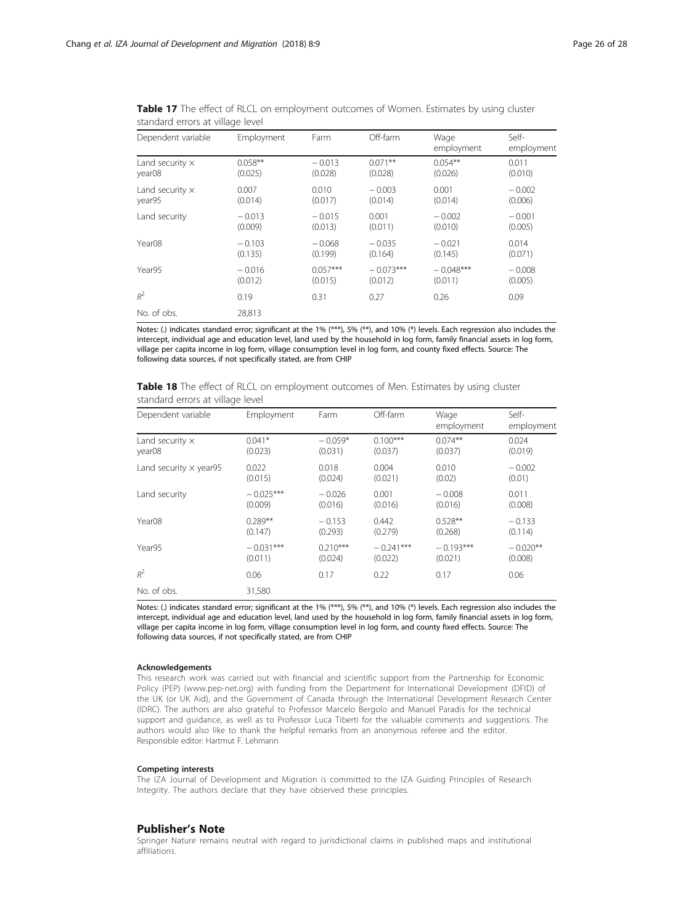| Dependent variable     | Employment | Farm       | Off-farm    | Wage<br>employment | Self-<br>employment |
|------------------------|------------|------------|-------------|--------------------|---------------------|
| Land security $\times$ | $0.058**$  | $-0.013$   | $0.071**$   | $0.054***$         | 0.011               |
| year <sub>08</sub>     | (0.025)    | (0.028)    | (0.028)     | (0.026)            | (0.010)             |
| Land security $\times$ | 0.007      | 0.010      | $-0.003$    | 0.001              | $-0.002$            |
| year95                 | (0.014)    | (0.017)    | (0.014)     | (0.014)            | (0.006)             |
| Land security          | $-0.013$   | $-0.015$   | 0.001       | $-0.002$           | $-0.001$            |
|                        | (0.009)    | (0.013)    | (0.011)     | (0.010)            | (0.005)             |
| Year <sub>08</sub>     | $-0.103$   | $-0.068$   | $-0.035$    | $-0.021$           | 0.014               |
|                        | (0.135)    | (0.199)    | (0.164)     | (0.145)            | (0.071)             |
| Year95                 | $-0.016$   | $0.057***$ | $-0.073***$ | $-0.048***$        | $-0.008$            |
|                        | (0.012)    | (0.015)    | (0.012)     | (0.011)            | (0.005)             |
| $R^2$                  | 0.19       | 0.31       | 0.27        | 0.26               | 0.09                |
| No. of obs.            | 28.813     |            |             |                    |                     |

Table 17 The effect of RLCL on employment outcomes of Women. Estimates by using cluster standard errors at village level

Notes: (.) indicates standard error; significant at the 1% (\*\*\*), 5% (\*\*), and 10% (\*) levels. Each regression also includes the intercept, individual age and education level, land used by the household in log form, family financial assets in log form, village per capita income in log form, village consumption level in log form, and county fixed effects. Source: The following data sources, if not specifically stated, are from CHIP

| <b>Table 18</b> The effect of RLCL on employment outcomes of Men. Estimates by using cluster |  |  |  |
|----------------------------------------------------------------------------------------------|--|--|--|
| standard errors at village level                                                             |  |  |  |

| Dependent variable            | Employment  | Farm       | Off-farm    | Wage<br>employment | Self-<br>employment |
|-------------------------------|-------------|------------|-------------|--------------------|---------------------|
| Land security $\times$        | $0.041*$    | $-0.059*$  | $0.100***$  | $0.074**$          | 0.024               |
| year <sub>08</sub>            | (0.023)     | (0.031)    | (0.037)     | (0.037)            | (0.019)             |
| Land security $\times$ year95 | 0.022       | 0.018      | 0.004       | 0.010              | $-0.002$            |
|                               | (0.015)     | (0.024)    | (0.021)     | (0.02)             | (0.01)              |
| Land security                 | $-0.025***$ | $-0.026$   | 0.001       | $-0.008$           | 0.011               |
|                               | (0.009)     | (0.016)    | (0.016)     | (0.016)            | (0.008)             |
| Year <sub>08</sub>            | $0.289**$   | $-0.153$   | 0.442       | $0.528**$          | $-0.133$            |
|                               | (0.147)     | (0.293)    | (0.279)     | (0.268)            | (0.114)             |
| Year95                        | $-0.031***$ | $0.210***$ | $-0.241***$ | $-0.193***$        | $-0.020**$          |
|                               | (0.011)     | (0.024)    | (0.022)     | (0.021)            | (0.008)             |
| $R^2$                         | 0.06        | 0.17       | 0.22        | 0.17               | 0.06                |
| No. of obs.                   | 31.580      |            |             |                    |                     |

Notes: (.) indicates standard error; significant at the 1% (\*\*\*), 5% (\*\*), and 10% (\*) levels. Each regression also includes the intercept, individual age and education level, land used by the household in log form, family financial assets in log form, village per capita income in log form, village consumption level in log form, and county fixed effects. Source: The following data sources, if not specifically stated, are from CHIP

#### Acknowledgements

This research work was carried out with financial and scientific support from the Partnership for Economic Policy (PEP) ([www.pep-net.org\)](http://www.pep-net.org) with funding from the Department for International Development (DFID) of the UK (or UK Aid), and the Government of Canada through the International Development Research Center (IDRC). The authors are also grateful to Professor Marcelo Bergolo and Manuel Paradis for the technical support and guidance, as well as to Professor Luca Tiberti for the valuable comments and suggestions. The authors would also like to thank the helpful remarks from an anonymous referee and the editor. Responsible editor: Hartmut F. Lehmann

#### Competing interests

The IZA Journal of Development and Migration is committed to the IZA Guiding Principles of Research Integrity. The authors declare that they have observed these principles.

#### Publisher's Note

Springer Nature remains neutral with regard to jurisdictional claims in published maps and institutional affiliations.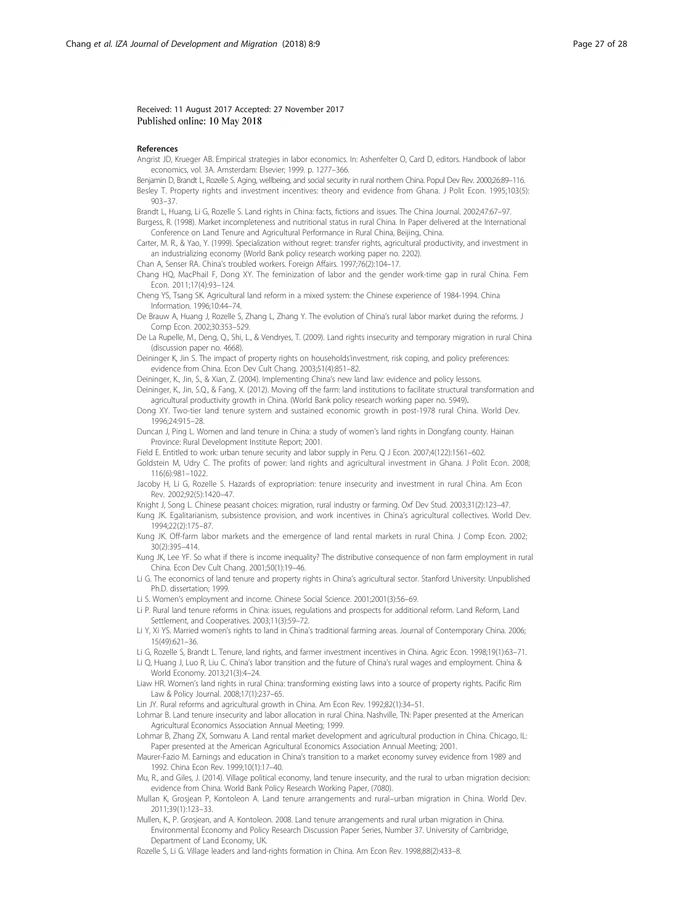#### <span id="page-26-0"></span>Received: 11 August 2017 Accepted: 27 November 2017 Published online: 10 May 2018

#### References

- Angrist JD, Krueger AB. Empirical strategies in labor economics. In: Ashenfelter O, Card D, editors. Handbook of labor economics, vol. 3A. Amsterdam: Elsevier; 1999. p. 1277–366.
- Benjamin D, Brandt L, Rozelle S. Aging, wellbeing, and social security in rural northern China. Popul Dev Rev. 2000;26:89–116. Besley T. Property rights and investment incentives: theory and evidence from Ghana. J Polit Econ. 1995;103(5): 903–37.
- Brandt L, Huang, Li G, Rozelle S. Land rights in China: facts, fictions and issues. The China Journal. 2002;47:67–97. Burgess, R. (1998). Market incompleteness and nutritional status in rural China. In Paper delivered at the International
- Conference on Land Tenure and Agricultural Performance in Rural China, Beijing, China. Carter, M. R., & Yao, Y. (1999). Specialization without regret: transfer rights, agricultural productivity, and investment in
- an industrializing economy (World Bank policy research working paper no. 2202).
- Chan A, Senser RA. China's troubled workers. Foreign Affairs. 1997;76(2):104–17.
- Chang HQ, MacPhail F, Dong XY. The feminization of labor and the gender work-time gap in rural China. Fem Econ. 2011;17(4):93–124.
- Cheng YS, Tsang SK. Agricultural land reform in a mixed system: the Chinese experience of 1984-1994. China Information. 1996;10:44–74.
- De Brauw A, Huang J, Rozelle S, Zhang L, Zhang Y. The evolution of China's rural labor market during the reforms. J Comp Econ. 2002;30:353–529.
- De La Rupelle, M., Deng, Q., Shi, L., & Vendryes, T. (2009). Land rights insecurity and temporary migration in rural China (discussion paper no. 4668).
- Deininger K, Jin S. The impact of property rights on households'investment, risk coping, and policy preferences: evidence from China. Econ Dev Cult Chang. 2003;51(4):851–82.

Deininger, K., Jin, S., & Xian, Z. (2004). Implementing China's new land law: evidence and policy lessons. Deininger, K., Jin, S.Q., & Fang, X. (2012). Moving off the farm: land institutions to facilitate structural transformation and

agricultural productivity growth in China. (World Bank policy research working paper no. 5949).

Dong XY. Two-tier land tenure system and sustained economic growth in post-1978 rural China. World Dev. 1996;24:915–28.

- Duncan J, Ping L. Women and land tenure in China: a study of women's land rights in Dongfang county. Hainan Province: Rural Development Institute Report; 2001.
- Field E. Entitled to work: urban tenure security and labor supply in Peru. Q J Econ. 2007;4(122):1561–602.
- Goldstein M, Udry C. The profits of power: land rights and agricultural investment in Ghana. J Polit Econ. 2008; 116(6):981–1022.
- Jacoby H, Li G, Rozelle S. Hazards of expropriation: tenure insecurity and investment in rural China. Am Econ Rev. 2002;92(5):1420–47.
- Knight J, Song L. Chinese peasant choices: migration, rural industry or farming. Oxf Dev Stud. 2003;31(2):123–47.
- Kung JK. Egalitarianism, subsistence provision, and work incentives in China's agricultural collectives. World Dev. 1994;22(2):175–87.
- Kung JK. Off-farm labor markets and the emergence of land rental markets in rural China. J Comp Econ. 2002; 30(2):395–414.
- Kung JK, Lee YF. So what if there is income inequality? The distributive consequence of non farm employment in rural China. Econ Dev Cult Chang. 2001;50(1):19–46.
- Li G. The economics of land tenure and property rights in China's agricultural sector. Stanford University: Unpublished Ph.D. dissertation; 1999.
- Li S. Women's employment and income. Chinese Social Science. 2001;2001(3):56–69.
- Li P. Rural land tenure reforms in China: issues, regulations and prospects for additional reform. Land Reform, Land Settlement, and Cooperatives. 2003;11(3):59–72.
- Li Y, Xi YS. Married women's rights to land in China's traditional farming areas. Journal of Contemporary China. 2006; 15(49):621–36.
- Li G, Rozelle S, Brandt L. Tenure, land rights, and farmer investment incentives in China. Agric Econ. 1998;19(1):63–71.
- Li Q, Huang J, Luo R, Liu C. China's labor transition and the future of China's rural wages and employment. China & World Economy. 2013;21(3):4–24.
- Liaw HR. Women's land rights in rural China: transforming existing laws into a source of property rights. Pacific Rim Law & Policy Journal. 2008;17(1):237–65.
- Lin JY. Rural reforms and agricultural growth in China. Am Econ Rev. 1992;82(1):34–51.

Lohmar B. Land tenure insecurity and labor allocation in rural China. Nashville, TN: Paper presented at the American Agricultural Economics Association Annual Meeting; 1999.

Lohmar B, Zhang ZX, Somwaru A. Land rental market development and agricultural production in China. Chicago, IL: Paper presented at the American Agricultural Economics Association Annual Meeting; 2001.

Maurer-Fazio M. Earnings and education in China's transition to a market economy survey evidence from 1989 and 1992. China Econ Rev. 1999;10(1):17–40.

- Mu, R., and Giles, J. (2014). Village political economy, land tenure insecurity, and the rural to urban migration decision: evidence from China. World Bank Policy Research Working Paper, (7080).
- Mullan K, Grosjean P, Kontoleon A. Land tenure arrangements and rural–urban migration in China. World Dev. 2011;39(1):123–33.
- Mullen, K., P. Grosjean, and A. Kontoleon. 2008. Land tenure arrangements and rural urban migration in China. Environmental Economy and Policy Research Discussion Paper Series, Number 37. University of Cambridge, Department of Land Economy, UK.
- Rozelle S, Li G. Village leaders and land-rights formation in China. Am Econ Rev. 1998;88(2):433–8.